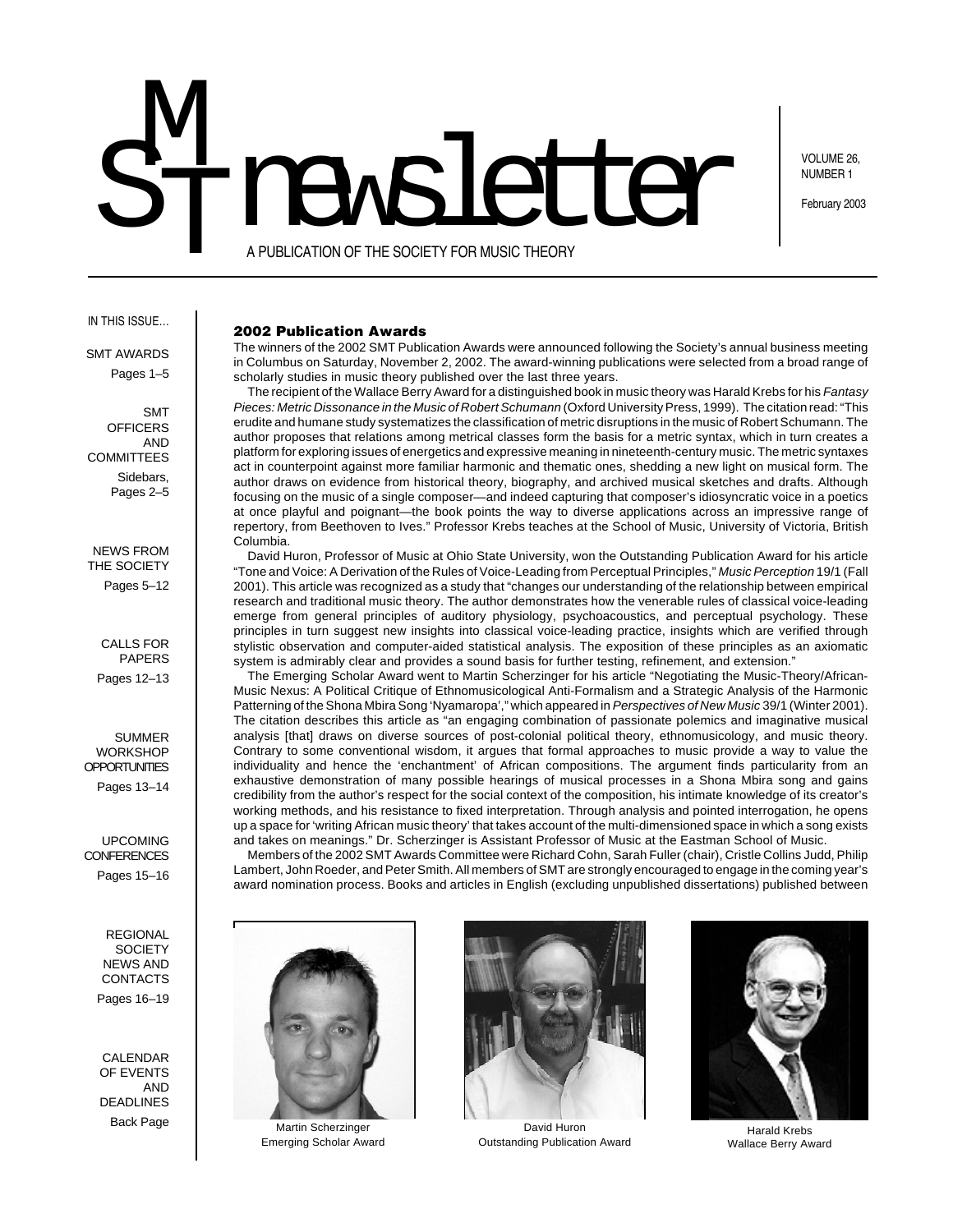# STIMEWELCH M<br>T

VOLUME 26, NUMBER 1

February 2003

A PUBLICATION OF THE SOCIETY FOR MUSIC THEORY

### IN THIS ISSUE…

SMT AWARDS Pages 1–5

SMT **OFFICERS** AND **COMMITTEES** Sidebars, Pages 2–5

NEWS FROM THE SOCIETY Pages 5–12

CALLS FOR PAPERS Pages 12–13

SUMMER **WORKSHOP OPPORTUNITIES** Pages 13–14

UPCOMING **CONFERENCES** Pages 15–16

> REGIONAL **SOCIETY** NEWS AND CONTACTS Pages 16–19

CALENDAR OF EVENTS AND DEADLINES

# **2002 Publication Awards**

The winners of the 2002 SMT Publication Awards were announced following the Society's annual business meeting in Columbus on Saturday, November 2, 2002. The award-winning publications were selected from a broad range of scholarly studies in music theory published over the last three years.

The recipient of the Wallace Berry Award for a distinguished book in music theory was Harald Krebs for his Fantasy Pieces: Metric Dissonance in the Music of Robert Schumann (Oxford University Press, 1999). The citation read: "This erudite and humane study systematizes the classification of metric disruptions in the music of Robert Schumann. The author proposes that relations among metrical classes form the basis for a metric syntax, which in turn creates a platform for exploring issues of energetics and expressive meaning in nineteenth-century music. The metric syntaxes act in counterpoint against more familiar harmonic and thematic ones, shedding a new light on musical form. The author draws on evidence from historical theory, biography, and archived musical sketches and drafts. Although focusing on the music of a single composer—and indeed capturing that composer's idiosyncratic voice in a poetics at once playful and poignant—the book points the way to diverse applications across an impressive range of repertory, from Beethoven to Ives." Professor Krebs teaches at the School of Music, University of Victoria, British Columbia.

David Huron, Professor of Music at Ohio State University, won the Outstanding Publication Award for his article "Tone and Voice: A Derivation of the Rules of Voice-Leading from Perceptual Principles," Music Perception 19/1 (Fall 2001). This article was recognized as a study that "changes our understanding of the relationship between empirical research and traditional music theory. The author demonstrates how the venerable rules of classical voice-leading emerge from general principles of auditory physiology, psychoacoustics, and perceptual psychology. These principles in turn suggest new insights into classical voice-leading practice, insights which are verified through stylistic observation and computer-aided statistical analysis. The exposition of these principles as an axiomatic system is admirably clear and provides a sound basis for further testing, refinement, and extension."

The Emerging Scholar Award went to Martin Scherzinger for his article "Negotiating the Music-Theory/African-Music Nexus: A Political Critique of Ethnomusicological Anti-Formalism and a Strategic Analysis of the Harmonic Patterning of the Shona Mbira Song 'Nyamaropa'," which appeared in Perspectives of New Music 39/1 (Winter 2001). The citation describes this article as "an engaging combination of passionate polemics and imaginative musical analysis [that] draws on diverse sources of post-colonial political theory, ethnomusicology, and music theory. Contrary to some conventional wisdom, it argues that formal approaches to music provide a way to value the individuality and hence the 'enchantment' of African compositions. The argument finds particularity from an exhaustive demonstration of many possible hearings of musical processes in a Shona Mbira song and gains credibility from the author's respect for the social context of the composition, his intimate knowledge of its creator's working methods, and his resistance to fixed interpretation. Through analysis and pointed interrogation, he opens up a space for 'writing African music theory' that takes account of the multi-dimensioned space in which a song exists and takes on meanings." Dr. Scherzinger is Assistant Professor of Music at the Eastman School of Music.

Members of the 2002 SMT Awards Committee were Richard Cohn, Sarah Fuller (chair), Cristle Collins Judd, Philip Lambert, John Roeder, and Peter Smith. All members of SMT are strongly encouraged to engage in the coming year's award nomination process. Books and articles in English (excluding unpublished dissertations) published between



Back Page Martin Scherzinger Emerging Scholar Award



David Huron Outstanding Publication Award



Harald Krebs Wallace Berry Award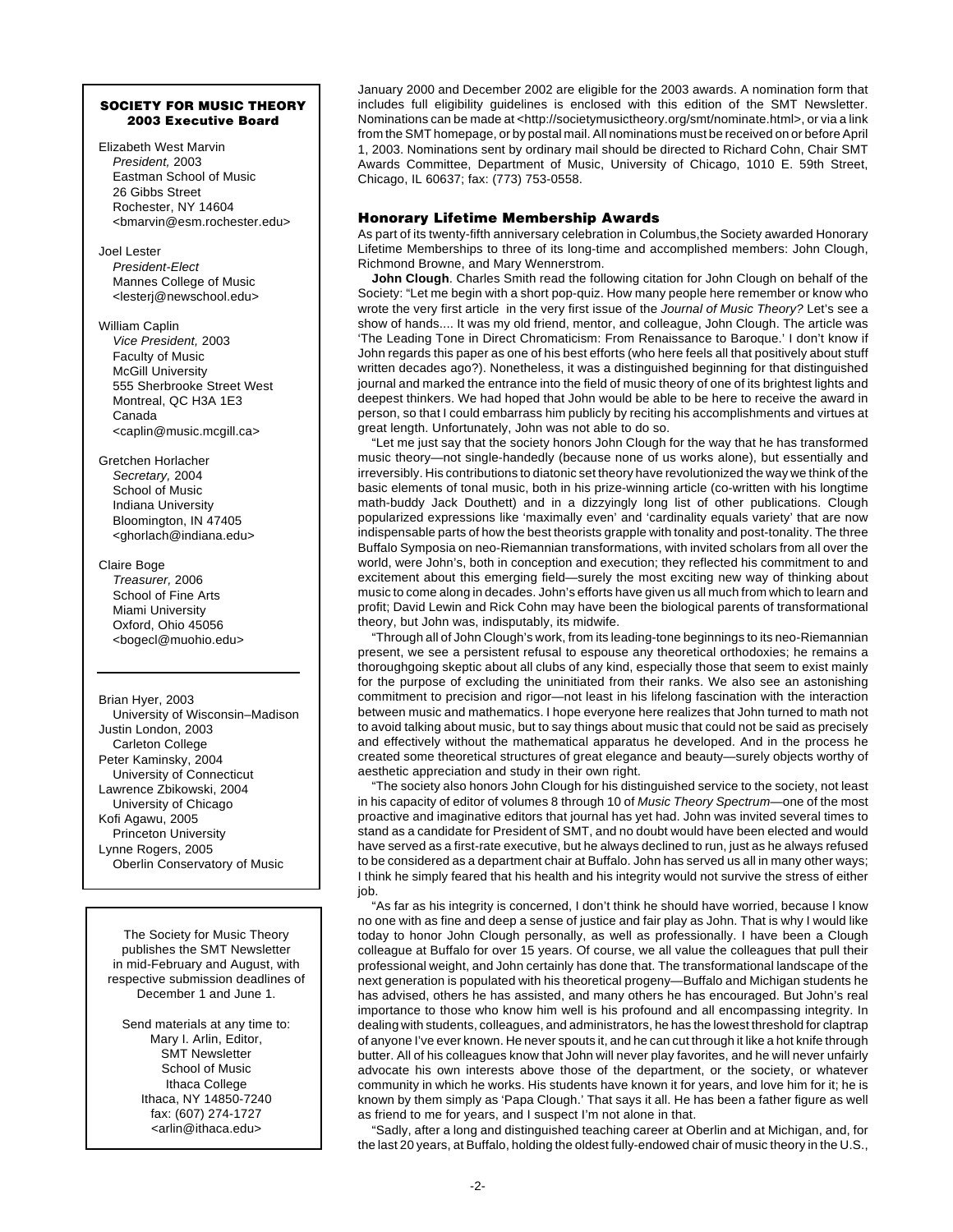# **SOCIETY FOR MUSIC THEORY 2003 Executive Board**

Elizabeth West Marvin President, 2003 Eastman School of Music 26 Gibbs Street Rochester, NY 14604 <bmarvin@esm.rochester.edu>

Joel Lester President-Elect Mannes College of Music <lesterj@newschool.edu>

William Caplin Vice President, 2003 Faculty of Music McGill University 555 Sherbrooke Street West Montreal, QC H3A 1E3 Canada <caplin@music.mcgill.ca>

Gretchen Horlacher Secretary, 2004 School of Music Indiana University Bloomington, IN 47405 <ghorlach@indiana.edu>

Claire Boge

Treasurer, 2006 School of Fine Arts Miami University Oxford, Ohio 45056 <bogecl@muohio.edu>

Brian Hyer, 2003 University of Wisconsin–Madison Justin London, 2003 Carleton College Peter Kaminsky, 2004 University of Connecticut Lawrence Zbikowski, 2004 University of Chicago Kofi Agawu, 2005 Princeton University Lynne Rogers, 2005 Oberlin Conservatory of Music

The Society for Music Theory publishes the SMT Newsletter in mid-February and August, with respective submission deadlines of December 1 and June 1.

Send materials at any time to: Mary I. Arlin, Editor, SMT Newsletter School of Music Ithaca College Ithaca, NY 14850-7240 fax: (607) 274-1727 <arlin@ithaca.edu>

January 2000 and December 2002 are eligible for the 2003 awards. A nomination form that includes full eligibility guidelines is enclosed with this edition of the SMT Newsletter. Nominations can be made at <http://societymusictheory.org/smt/nominate.html>, or via a link from the SMT homepage, or by postal mail. All nominations must be received on or before April 1, 2003. Nominations sent by ordinary mail should be directed to Richard Cohn, Chair SMT Awards Committee, Department of Music, University of Chicago, 1010 E. 59th Street, Chicago, IL 60637; fax: (773) 753-0558.

# **Honorary Lifetime Membership Awards**

As part of its twenty-fifth anniversary celebration in Columbus,the Society awarded Honorary Lifetime Memberships to three of its long-time and accomplished members: John Clough, Richmond Browne, and Mary Wennerstrom.

**John Clough**. Charles Smith read the following citation for John Clough on behalf of the Society: "Let me begin with a short pop-quiz. How many people here remember or know who wrote the very first article in the very first issue of the Journal of Music Theory? Let's see a show of hands.... It was my old friend, mentor, and colleague, John Clough. The article was 'The Leading Tone in Direct Chromaticism: From Renaissance to Baroque.' I don't know if John regards this paper as one of his best efforts (who here feels all that positively about stuff written decades ago?). Nonetheless, it was a distinguished beginning for that distinguished journal and marked the entrance into the field of music theory of one of its brightest lights and deepest thinkers. We had hoped that John would be able to be here to receive the award in person, so that I could embarrass him publicly by reciting his accomplishments and virtues at great length. Unfortunately, John was not able to do so.

"Let me just say that the society honors John Clough for the way that he has transformed music theory—not single-handedly (because none of us works alone), but essentially and irreversibly. His contributions to diatonic set theory have revolutionized the way we think of the basic elements of tonal music, both in his prize-winning article (co-written with his longtime math-buddy Jack Douthett) and in a dizzyingly long list of other publications. Clough popularized expressions like 'maximally even' and 'cardinality equals variety' that are now indispensable parts of how the best theorists grapple with tonality and post-tonality. The three Buffalo Symposia on neo-Riemannian transformations, with invited scholars from all over the world, were John's, both in conception and execution; they reflected his commitment to and excitement about this emerging field—surely the most exciting new way of thinking about music to come along in decades. John's efforts have given us all much from which to learn and profit; David Lewin and Rick Cohn may have been the biological parents of transformational theory, but John was, indisputably, its midwife.

"Through all of John Clough's work, from its leading-tone beginnings to its neo-Riemannian present, we see a persistent refusal to espouse any theoretical orthodoxies; he remains a thoroughgoing skeptic about all clubs of any kind, especially those that seem to exist mainly for the purpose of excluding the uninitiated from their ranks. We also see an astonishing commitment to precision and rigor—not least in his lifelong fascination with the interaction between music and mathematics. I hope everyone here realizes that John turned to math not to avoid talking about music, but to say things about music that could not be said as precisely and effectively without the mathematical apparatus he developed. And in the process he created some theoretical structures of great elegance and beauty—surely objects worthy of aesthetic appreciation and study in their own right.

"The society also honors John Clough for his distinguished service to the society, not least in his capacity of editor of volumes 8 through 10 of Music Theory Spectrum—one of the most proactive and imaginative editors that journal has yet had. John was invited several times to stand as a candidate for President of SMT, and no doubt would have been elected and would have served as a first-rate executive, but he always declined to run, just as he always refused to be considered as a department chair at Buffalo. John has served us all in many other ways; I think he simply feared that his health and his integrity would not survive the stress of either job.

"As far as his integrity is concerned, I don't think he should have worried, because l know no one with as fine and deep a sense of justice and fair play as John. That is why I would like today to honor John Clough personally, as well as professionally. I have been a Clough colleague at Buffalo for over 15 years. Of course, we all value the colleagues that pull their professional weight, and John certainly has done that. The transformational landscape of the next generation is populated with his theoretical progeny—Buffalo and Michigan students he has advised, others he has assisted, and many others he has encouraged. But John's real importance to those who know him well is his profound and all encompassing integrity. In dealing with students, colleagues, and administrators, he has the lowest threshold for claptrap of anyone I've ever known. He never spouts it, and he can cut through it like a hot knife through butter. All of his colleagues know that John will never play favorites, and he will never unfairly advocate his own interests above those of the department, or the society, or whatever community in which he works. His students have known it for years, and love him for it; he is known by them simply as 'Papa Clough.' That says it all. He has been a father figure as well as friend to me for years, and I suspect I'm not alone in that.

"Sadly, after a long and distinguished teaching career at Oberlin and at Michigan, and, for the last 20 years, at Buffalo, holding the oldest fully-endowed chair of music theory in the U.S.,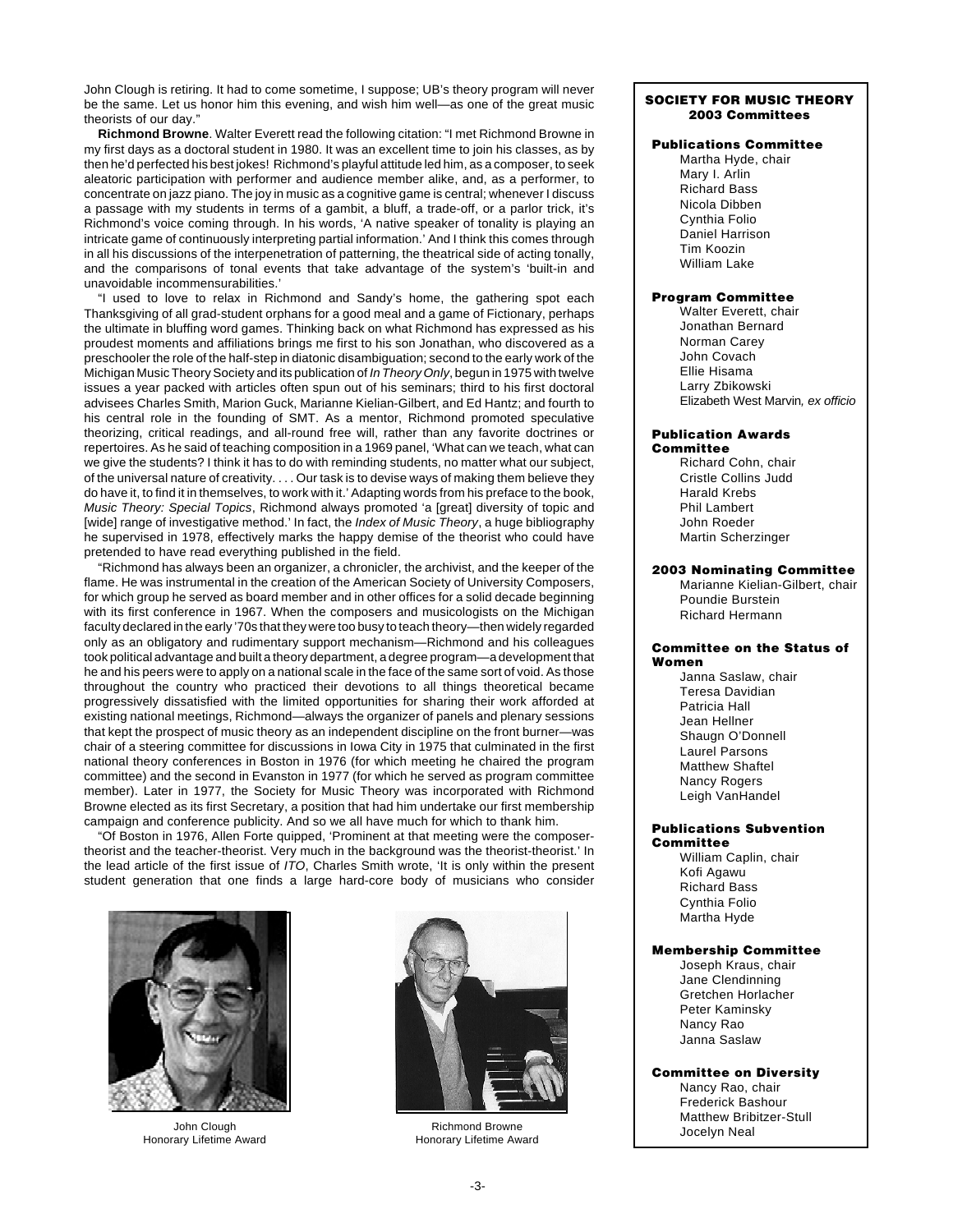John Clough is retiring. It had to come sometime, I suppose; UB's theory program will never be the same. Let us honor him this evening, and wish him well—as one of the great music theorists of our day."

**Richmond Browne**. Walter Everett read the following citation: "I met Richmond Browne in my first days as a doctoral student in 1980. It was an excellent time to join his classes, as by then he'd perfected his best jokes! Richmond's playful attitude led him, as a composer, to seek aleatoric participation with performer and audience member alike, and, as a performer, to concentrate on jazz piano. The joy in music as a cognitive game is central; whenever I discuss a passage with my students in terms of a gambit, a bluff, a trade-off, or a parlor trick, it's Richmond's voice coming through. In his words, 'A native speaker of tonality is playing an intricate game of continuously interpreting partial information.' And I think this comes through in all his discussions of the interpenetration of patterning, the theatrical side of acting tonally, and the comparisons of tonal events that take advantage of the system's 'built-in and unavoidable incommensurabilities.'

"I used to love to relax in Richmond and Sandy's home, the gathering spot each Thanksgiving of all grad-student orphans for a good meal and a game of Fictionary, perhaps the ultimate in bluffing word games. Thinking back on what Richmond has expressed as his proudest moments and affiliations brings me first to his son Jonathan, who discovered as a preschooler the role of the half-step in diatonic disambiguation; second to the early work of the Michigan Music Theory Society and its publication of In Theory Only, begun in 1975 with twelve issues a year packed with articles often spun out of his seminars; third to his first doctoral advisees Charles Smith, Marion Guck, Marianne Kielian-Gilbert, and Ed Hantz; and fourth to his central role in the founding of SMT. As a mentor, Richmond promoted speculative theorizing, critical readings, and all-round free will, rather than any favorite doctrines or repertoires. As he said of teaching composition in a 1969 panel, 'What can we teach, what can we give the students? I think it has to do with reminding students, no matter what our subject, of the universal nature of creativity. . . . Our task is to devise ways of making them believe they do have it, to find it in themselves, to work with it.' Adapting words from his preface to the book, Music Theory: Special Topics, Richmond always promoted 'a [great] diversity of topic and [wide] range of investigative method.' In fact, the Index of Music Theory, a huge bibliography he supervised in 1978, effectively marks the happy demise of the theorist who could have pretended to have read everything published in the field.

"Richmond has always been an organizer, a chronicler, the archivist, and the keeper of the flame. He was instrumental in the creation of the American Society of University Composers, for which group he served as board member and in other offices for a solid decade beginning with its first conference in 1967. When the composers and musicologists on the Michigan faculty declared in the early '70s that they were too busy to teach theory—then widely regarded only as an obligatory and rudimentary support mechanism—Richmond and his colleagues took political advantage and built a theory department, a degree program—a development that he and his peers were to apply on a national scale in the face of the same sort of void. As those throughout the country who practiced their devotions to all things theoretical became progressively dissatisfied with the limited opportunities for sharing their work afforded at existing national meetings, Richmond—always the organizer of panels and plenary sessions that kept the prospect of music theory as an independent discipline on the front burner—was chair of a steering committee for discussions in Iowa City in 1975 that culminated in the first national theory conferences in Boston in 1976 (for which meeting he chaired the program committee) and the second in Evanston in 1977 (for which he served as program committee member). Later in 1977, the Society for Music Theory was incorporated with Richmond Browne elected as its first Secretary, a position that had him undertake our first membership campaign and conference publicity. And so we all have much for which to thank him.

"Of Boston in 1976, Allen Forte quipped, 'Prominent at that meeting were the composertheorist and the teacher-theorist. Very much in the background was the theorist-theorist.' In the lead article of the first issue of ITO, Charles Smith wrote, 'It is only within the present student generation that one finds a large hard-core body of musicians who consider



John Clough Honorary Lifetime Award



Richmond Browne Honorary Lifetime Award

# **SOCIETY FOR MUSIC THEORY 2003 Committees**

# **Publications Committee**

Martha Hyde, chair Mary I. Arlin Richard Bass Nicola Dibben Cynthia Folio Daniel Harrison Tim Koozin William Lake

# **Program Committee**

Walter Everett, chair Jonathan Bernard Norman Carey John Covach Ellie Hisama Larry Zbikowski Elizabeth West Marvin, ex officio

### **Publication Awards Committee**

Richard Cohn, chair Cristle Collins Judd Harald Krebs Phil Lambert John Roeder Martin Scherzinger

### **2003 Nominating Committee**

Marianne Kielian-Gilbert, chair Poundie Burstein Richard Hermann

### **Committee on the Status of Women**

Janna Saslaw, chair Teresa Davidian Patricia Hall Jean Hellner Shaugn O'Donnell Laurel Parsons Matthew Shaftel Nancy Rogers Leigh VanHandel

### **Publications Subvention Committee**

William Caplin, chair Kofi Agawu Richard Bass Cynthia Folio Martha Hyde

# **Membership Committee**

Joseph Kraus, chair Jane Clendinning Gretchen Horlacher Peter Kaminsky Nancy Rao Janna Saslaw

### **Committee on Diversity**

Nancy Rao, chair Frederick Bashour Matthew Bribitzer-Stull Jocelyn Neal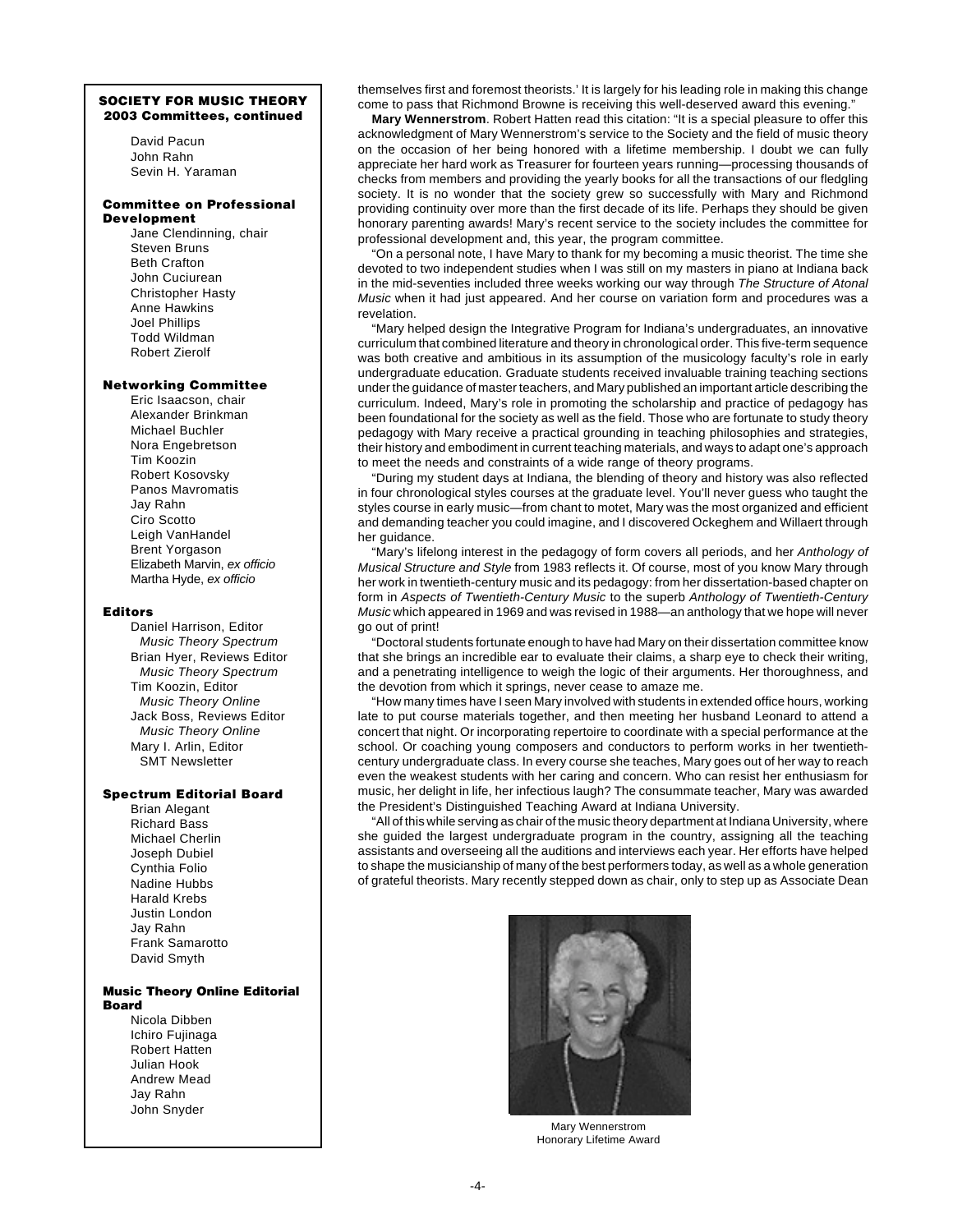### **SOCIETY FOR MUSIC THEORY 2003 Committees, continued**

David Pacun John Rahn Sevin H. Yaraman

### **Committee on Professional Development**

Jane Clendinning, chair Steven Bruns Beth Crafton John Cuciurean Christopher Hasty Anne Hawkins Joel Phillips Todd Wildman Robert Zierolf

# **Networking Committee**

Eric Isaacson, chair Alexander Brinkman Michael Buchler Nora Engebretson Tim Koozin Robert Kosovsky Panos Mavromatis Jay Rahn Ciro Scotto Leigh VanHandel Brent Yorgason Elizabeth Marvin, ex officio Martha Hyde, ex officio

### **Editors**

Daniel Harrison, Editor Music Theory Spectrum Brian Hyer, Reviews Editor Music Theory Spectrum Tim Koozin, Editor Music Theory Online Jack Boss, Reviews Editor Music Theory Online Mary I. Arlin, Editor SMT Newsletter

### **Spectrum Editorial Board**

Brian Alegant Richard Bass Michael Cherlin Joseph Dubiel Cynthia Folio Nadine Hubbs Harald Krebs Justin London Jay Rahn Frank Samarotto David Smyth

# **Music Theory Online Editorial Board**

Nicola Dibben Ichiro Fujinaga Robert Hatten Julian Hook Andrew Mead Jay Rahn John Snyder

themselves first and foremost theorists.' It is largely for his leading role in making this change come to pass that Richmond Browne is receiving this well-deserved award this evening."

**Mary Wennerstrom**. Robert Hatten read this citation: "It is a special pleasure to offer this acknowledgment of Mary Wennerstrom's service to the Society and the field of music theory on the occasion of her being honored with a lifetime membership. I doubt we can fully appreciate her hard work as Treasurer for fourteen years running—processing thousands of checks from members and providing the yearly books for all the transactions of our fledgling society. It is no wonder that the society grew so successfully with Mary and Richmond providing continuity over more than the first decade of its life. Perhaps they should be given honorary parenting awards! Mary's recent service to the society includes the committee for professional development and, this year, the program committee.

"On a personal note, I have Mary to thank for my becoming a music theorist. The time she devoted to two independent studies when I was still on my masters in piano at Indiana back in the mid-seventies included three weeks working our way through The Structure of Atonal Music when it had just appeared. And her course on variation form and procedures was a revelation.

"Mary helped design the Integrative Program for Indiana's undergraduates, an innovative curriculum that combined literature and theory in chronological order. This five-term sequence was both creative and ambitious in its assumption of the musicology faculty's role in early undergraduate education. Graduate students received invaluable training teaching sections under the guidance of master teachers, and Mary published an important article describing the curriculum. Indeed, Mary's role in promoting the scholarship and practice of pedagogy has been foundational for the society as well as the field. Those who are fortunate to study theory pedagogy with Mary receive a practical grounding in teaching philosophies and strategies, their history and embodiment in current teaching materials, and ways to adapt one's approach to meet the needs and constraints of a wide range of theory programs.

"During my student days at Indiana, the blending of theory and history was also reflected in four chronological styles courses at the graduate level. You'll never guess who taught the styles course in early music—from chant to motet, Mary was the most organized and efficient and demanding teacher you could imagine, and I discovered Ockeghem and Willaert through her guidance.

'Mary's lifelong interest in the pedagogy of form covers all periods, and her Anthology of Musical Structure and Style from 1983 reflects it. Of course, most of you know Mary through her work in twentieth-century music and its pedagogy: from her dissertation-based chapter on form in Aspects of Twentieth-Century Music to the superb Anthology of Twentieth-Century Music which appeared in 1969 and was revised in 1988—an anthology that we hope will never go out of print!

"Doctoral students fortunate enough to have had Mary on their dissertation committee know that she brings an incredible ear to evaluate their claims, a sharp eye to check their writing, and a penetrating intelligence to weigh the logic of their arguments. Her thoroughness, and the devotion from which it springs, never cease to amaze me.

"How many times have I seen Mary involved with students in extended office hours, working late to put course materials together, and then meeting her husband Leonard to attend a concert that night. Or incorporating repertoire to coordinate with a special performance at the school. Or coaching young composers and conductors to perform works in her twentiethcentury undergraduate class. In every course she teaches, Mary goes out of her way to reach even the weakest students with her caring and concern. Who can resist her enthusiasm for music, her delight in life, her infectious laugh? The consummate teacher, Mary was awarded the President's Distinguished Teaching Award at Indiana University.

"All of this while serving as chair of the music theory department at Indiana University, where she guided the largest undergraduate program in the country, assigning all the teaching assistants and overseeing all the auditions and interviews each year. Her efforts have helped to shape the musicianship of many of the best performers today, as well as a whole generation of grateful theorists. Mary recently stepped down as chair, only to step up as Associate Dean



Mary Wennerstrom Honorary Lifetime Award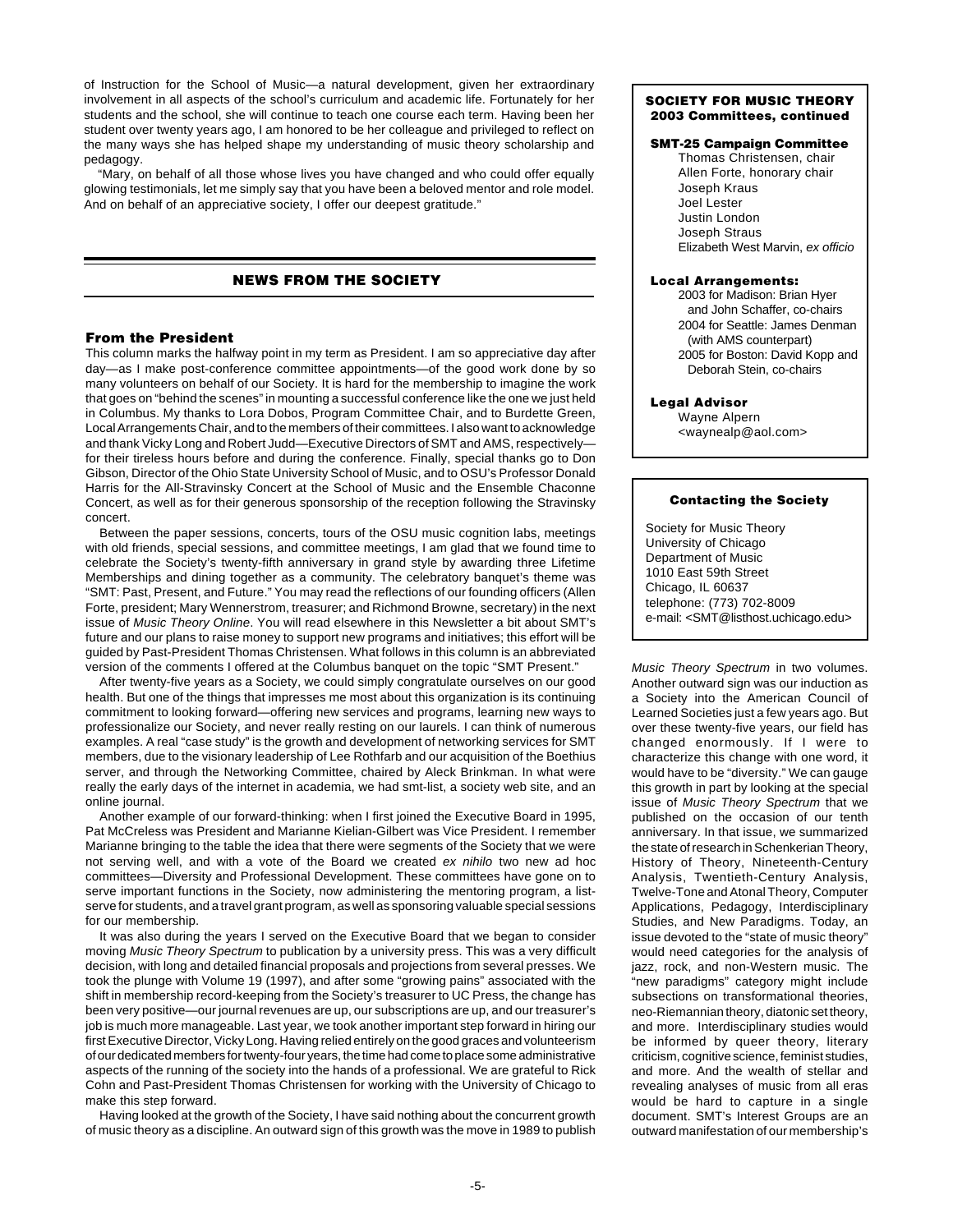of Instruction for the School of Music—a natural development, given her extraordinary involvement in all aspects of the school's curriculum and academic life. Fortunately for her students and the school, she will continue to teach one course each term. Having been her student over twenty years ago, I am honored to be her colleague and privileged to reflect on the many ways she has helped shape my understanding of music theory scholarship and pedagogy.

"Mary, on behalf of all those whose lives you have changed and who could offer equally glowing testimonials, let me simply say that you have been a beloved mentor and role model. And on behalf of an appreciative society, I offer our deepest gratitude."

# **NEWS FROM THE SOCIETY**

# **From the President**

This column marks the halfway point in my term as President. I am so appreciative day after day—as I make post-conference committee appointments—of the good work done by so many volunteers on behalf of our Society. It is hard for the membership to imagine the work that goes on "behind the scenes" in mounting a successful conference like the one we just held in Columbus. My thanks to Lora Dobos, Program Committee Chair, and to Burdette Green, Local Arrangements Chair, and to the members of their committees. I also want to acknowledge and thank Vicky Long and Robert Judd—Executive Directors of SMT and AMS, respectively for their tireless hours before and during the conference. Finally, special thanks go to Don Gibson, Director of the Ohio State University School of Music, and to OSU's Professor Donald Harris for the All-Stravinsky Concert at the School of Music and the Ensemble Chaconne Concert, as well as for their generous sponsorship of the reception following the Stravinsky concert.

Between the paper sessions, concerts, tours of the OSU music cognition labs, meetings with old friends, special sessions, and committee meetings, I am glad that we found time to celebrate the Society's twenty-fifth anniversary in grand style by awarding three Lifetime Memberships and dining together as a community. The celebratory banquet's theme was "SMT: Past, Present, and Future." You may read the reflections of our founding officers (Allen Forte, president; Mary Wennerstrom, treasurer; and Richmond Browne, secretary) in the next issue of Music Theory Online. You will read elsewhere in this Newsletter a bit about SMT's future and our plans to raise money to support new programs and initiatives; this effort will be guided by Past-President Thomas Christensen. What follows in this column is an abbreviated version of the comments I offered at the Columbus banquet on the topic "SMT Present."

After twenty-five years as a Society, we could simply congratulate ourselves on our good health. But one of the things that impresses me most about this organization is its continuing commitment to looking forward—offering new services and programs, learning new ways to professionalize our Society, and never really resting on our laurels. I can think of numerous examples. A real "case study" is the growth and development of networking services for SMT members, due to the visionary leadership of Lee Rothfarb and our acquisition of the Boethius server, and through the Networking Committee, chaired by Aleck Brinkman. In what were really the early days of the internet in academia, we had smt-list, a society web site, and an online journal.

Another example of our forward-thinking: when I first joined the Executive Board in 1995, Pat McCreless was President and Marianne Kielian-Gilbert was Vice President. I remember Marianne bringing to the table the idea that there were segments of the Society that we were not serving well, and with a vote of the Board we created ex nihilo two new ad hoc committees—Diversity and Professional Development. These committees have gone on to serve important functions in the Society, now administering the mentoring program, a listserve for students, and a travel grant program, as well as sponsoring valuable special sessions for our membership.

It was also during the years I served on the Executive Board that we began to consider moving Music Theory Spectrum to publication by a university press. This was a very difficult decision, with long and detailed financial proposals and projections from several presses. We took the plunge with Volume 19 (1997), and after some "growing pains" associated with the shift in membership record-keeping from the Society's treasurer to UC Press, the change has been very positive—our journal revenues are up, our subscriptions are up, and our treasurer's job is much more manageable. Last year, we took another important step forward in hiring our first Executive Director, Vicky Long. Having relied entirely on the good graces and volunteerism of our dedicated members for twenty-four years, the time had come to place some administrative aspects of the running of the society into the hands of a professional. We are grateful to Rick Cohn and Past-President Thomas Christensen for working with the University of Chicago to make this step forward.

Having looked at the growth of the Society, I have said nothing about the concurrent growth of music theory as a discipline. An outward sign of this growth was the move in 1989 to publish

### **SOCIETY FOR MUSIC THEORY 2003 Committees, continued**

# **SMT-25 Campaign Committee**

Thomas Christensen, chair Allen Forte, honorary chair Joseph Kraus Joel Lester Justin London Joseph Straus Elizabeth West Marvin, ex officio

### **Local Arrangements:**

2003 for Madison: Brian Hyer and John Schaffer, co-chairs 2004 for Seattle: James Denman (with AMS counterpart) 2005 for Boston: David Kopp and Deborah Stein, co-chairs

### **Legal Advisor**

Wayne Alpern <waynealp@aol.com>

### **Contacting the Society**

Society for Music Theory University of Chicago Department of Music 1010 East 59th Street Chicago, IL 60637 telephone: (773) 702-8009 e-mail: <SMT@listhost.uchicago.edu>

Music Theory Spectrum in two volumes. Another outward sign was our induction as a Society into the American Council of Learned Societies just a few years ago. But over these twenty-five years, our field has changed enormously. If I were to characterize this change with one word, it would have to be "diversity." We can gauge this growth in part by looking at the special issue of Music Theory Spectrum that we published on the occasion of our tenth anniversary. In that issue, we summarized the state of research in Schenkerian Theory, History of Theory, Nineteenth-Century Analysis, Twentieth-Century Analysis, Twelve-Tone and Atonal Theory, Computer Applications, Pedagogy, Interdisciplinary Studies, and New Paradigms. Today, an issue devoted to the "state of music theory" would need categories for the analysis of jazz, rock, and non-Western music. The "new paradigms" category might include subsections on transformational theories, neo-Riemannian theory, diatonic set theory, and more. Interdisciplinary studies would be informed by queer theory, literary criticism, cognitive science, feminist studies, and more. And the wealth of stellar and revealing analyses of music from all eras would be hard to capture in a single document. SMT's Interest Groups are an outward manifestation of our membership's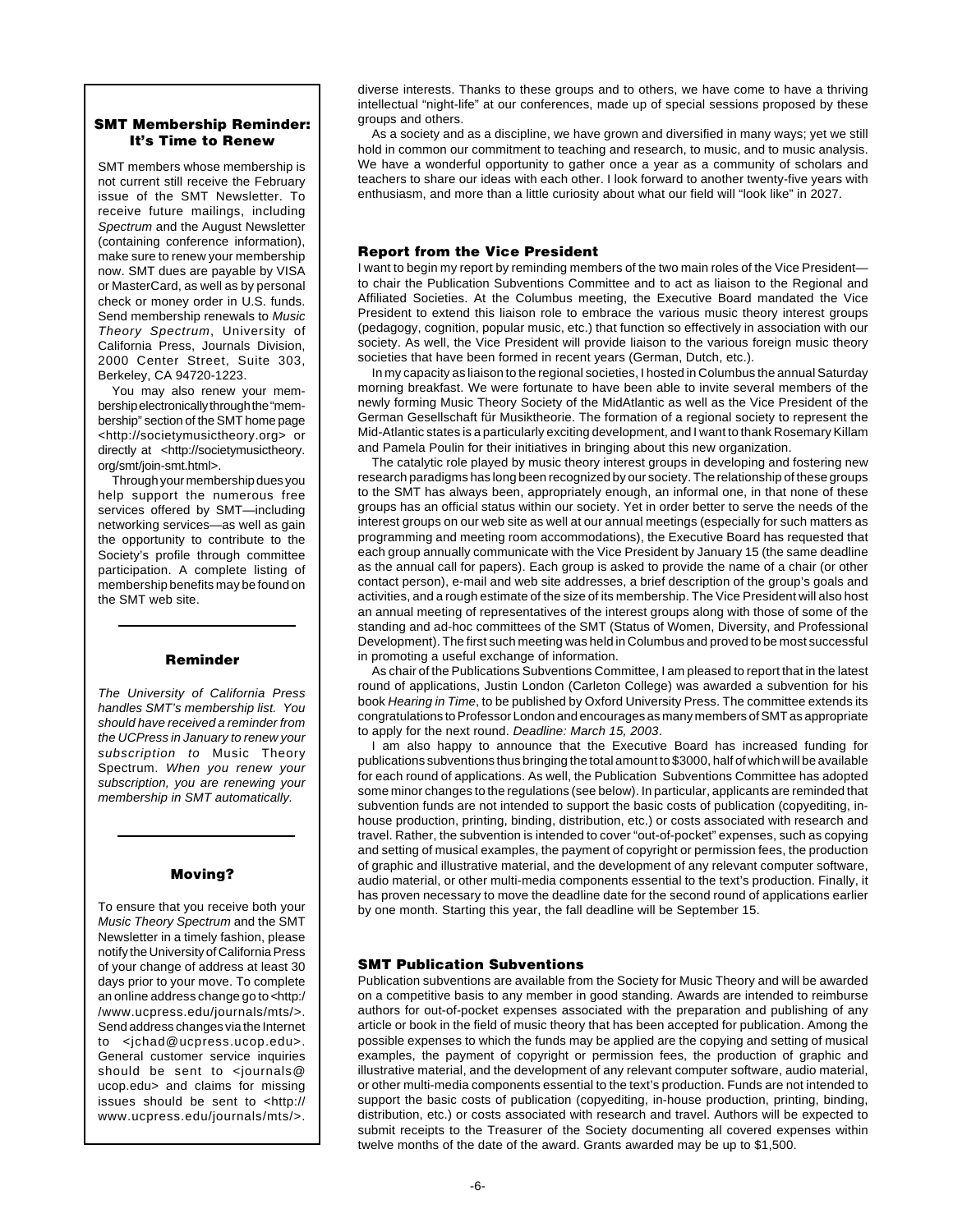# **SMT Membership Reminder: It's Time to Renew**

SMT members whose membership is not current still receive the February issue of the SMT Newsletter. To receive future mailings, including Spectrum and the August Newsletter (containing conference information), make sure to renew your membership now. SMT dues are payable by VISA or MasterCard, as well as by personal check or money order in U.S. funds. Send membership renewals to Music Theory Spectrum, University of California Press, Journals Division, 2000 Center Street, Suite 303, Berkeley, CA 94720-1223.

You may also renew your membership electronically through the "membership" section of the SMT home page <http://societymusictheory.org> or directly at <http://societymusictheory. org/smt/join-smt.html>.

Through your membership dues you help support the numerous free services offered by SMT—including networking services—as well as gain the opportunity to contribute to the Society's profile through committee participation. A complete listing of membership benefits may be found on the SMT web site.

# **Reminder**

The University of California Press handles SMT's membership list. You should have received a reminder from the UCPress in January to renew your subscription to Music Theory Spectrum. When you renew your subscription, you are renewing your membership in SMT automatically.

# **Moving?**

To ensure that you receive both your Music Theory Spectrum and the SMT Newsletter in a timely fashion, please notify the University of California Press of your change of address at least 30 days prior to your move. To complete an online address change go to <http:/ /www.ucpress.edu/journals/mts/>. Send address changes via the Internet to <jchad@ucpress.ucop.edu>. General customer service inquiries should be sent to <journals@ ucop.edu> and claims for missing issues should be sent to <http:// www.ucpress.edu/journals/mts/>.

diverse interests. Thanks to these groups and to others, we have come to have a thriving intellectual "night-life" at our conferences, made up of special sessions proposed by these groups and others.

As a society and as a discipline, we have grown and diversified in many ways; yet we still hold in common our commitment to teaching and research, to music, and to music analysis. We have a wonderful opportunity to gather once a year as a community of scholars and teachers to share our ideas with each other. I look forward to another twenty-five years with enthusiasm, and more than a little curiosity about what our field will "look like" in 2027.

# **Report from the Vice President**

I want to begin my report by reminding members of the two main roles of the Vice President to chair the Publication Subventions Committee and to act as liaison to the Regional and Affiliated Societies. At the Columbus meeting, the Executive Board mandated the Vice President to extend this liaison role to embrace the various music theory interest groups (pedagogy, cognition, popular music, etc.) that function so effectively in association with our society. As well, the Vice President will provide liaison to the various foreign music theory societies that have been formed in recent years (German, Dutch, etc.).

In my capacity as liaison to the regional societies, I hosted in Columbus the annual Saturday morning breakfast. We were fortunate to have been able to invite several members of the newly forming Music Theory Society of the MidAtlantic as well as the Vice President of the German Gesellschaft für Musiktheorie. The formation of a regional society to represent the Mid-Atlantic states is a particularly exciting development, and I want to thank Rosemary Killam and Pamela Poulin for their initiatives in bringing about this new organization.

The catalytic role played by music theory interest groups in developing and fostering new research paradigms has long been recognized by our society. The relationship of these groups to the SMT has always been, appropriately enough, an informal one, in that none of these groups has an official status within our society. Yet in order better to serve the needs of the interest groups on our web site as well at our annual meetings (especially for such matters as programming and meeting room accommodations), the Executive Board has requested that each group annually communicate with the Vice President by January 15 (the same deadline as the annual call for papers). Each group is asked to provide the name of a chair (or other contact person), e-mail and web site addresses, a brief description of the group's goals and activities, and a rough estimate of the size of its membership. The Vice President will also host an annual meeting of representatives of the interest groups along with those of some of the standing and ad-hoc committees of the SMT (Status of Women, Diversity, and Professional Development). The first such meeting was held in Columbus and proved to be most successful in promoting a useful exchange of information.

As chair of the Publications Subventions Committee, I am pleased to report that in the latest round of applications, Justin London (Carleton College) was awarded a subvention for his book Hearing in Time, to be published by Oxford University Press. The committee extends its congratulations to Professor London and encourages as many members of SMT as appropriate to apply for the next round. Deadline: March 15, 2003.

I am also happy to announce that the Executive Board has increased funding for publications subventions thus bringing the total amount to \$3000, half of which will be available for each round of applications. As well, the Publication Subventions Committee has adopted some minor changes to the regulations (see below). In particular, applicants are reminded that subvention funds are not intended to support the basic costs of publication (copyediting, inhouse production, printing, binding, distribution, etc.) or costs associated with research and travel. Rather, the subvention is intended to cover "out-of-pocket" expenses, such as copying and setting of musical examples, the payment of copyright or permission fees, the production of graphic and illustrative material, and the development of any relevant computer software, audio material, or other multi-media components essential to the text's production. Finally, it has proven necessary to move the deadline date for the second round of applications earlier by one month. Starting this year, the fall deadline will be September 15.

# **SMT Publication Subventions**

Publication subventions are available from the Society for Music Theory and will be awarded on a competitive basis to any member in good standing. Awards are intended to reimburse authors for out-of-pocket expenses associated with the preparation and publishing of any article or book in the field of music theory that has been accepted for publication. Among the possible expenses to which the funds may be applied are the copying and setting of musical examples, the payment of copyright or permission fees, the production of graphic and illustrative material, and the development of any relevant computer software, audio material, or other multi-media components essential to the text's production. Funds are not intended to support the basic costs of publication (copyediting, in-house production, printing, binding, distribution, etc.) or costs associated with research and travel. Authors will be expected to submit receipts to the Treasurer of the Society documenting all covered expenses within twelve months of the date of the award. Grants awarded may be up to \$1,500.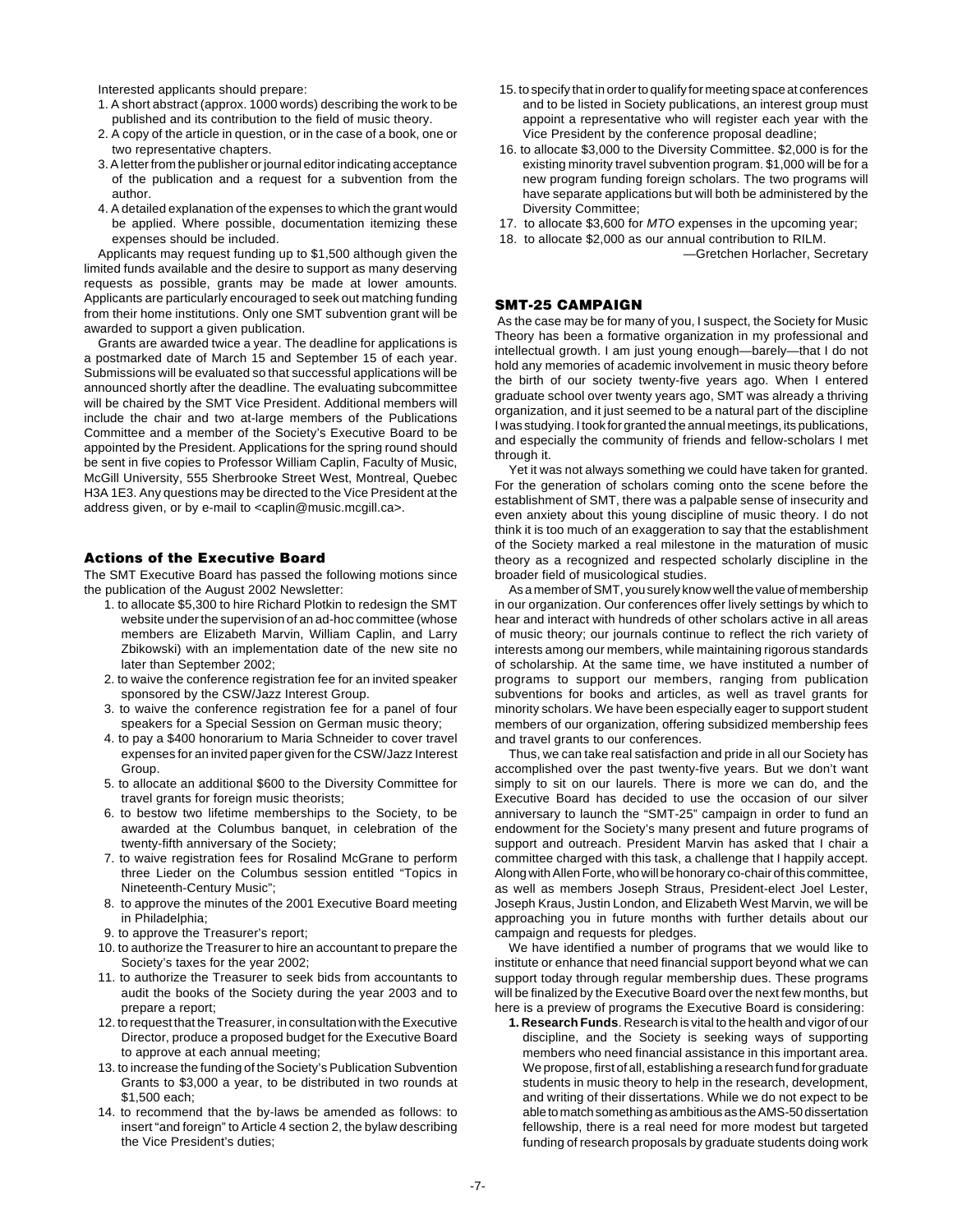Interested applicants should prepare:

- 1. A short abstract (approx. 1000 words) describing the work to be published and its contribution to the field of music theory.
- 2. A copy of the article in question, or in the case of a book, one or two representative chapters.
- 3. A letter from the publisher or journal editor indicating acceptance of the publication and a request for a subvention from the author.
- 4. A detailed explanation of the expenses to which the grant would be applied. Where possible, documentation itemizing these expenses should be included.

Applicants may request funding up to \$1,500 although given the limited funds available and the desire to support as many deserving requests as possible, grants may be made at lower amounts. Applicants are particularly encouraged to seek out matching funding from their home institutions. Only one SMT subvention grant will be awarded to support a given publication.

Grants are awarded twice a year. The deadline for applications is a postmarked date of March 15 and September 15 of each year. Submissions will be evaluated so that successful applications will be announced shortly after the deadline. The evaluating subcommittee will be chaired by the SMT Vice President. Additional members will include the chair and two at-large members of the Publications Committee and a member of the Society's Executive Board to be appointed by the President. Applications for the spring round should be sent in five copies to Professor William Caplin, Faculty of Music, McGill University, 555 Sherbrooke Street West, Montreal, Quebec H3A 1E3. Any questions may be directed to the Vice President at the address given, or by e-mail to <caplin@music.mcgill.ca>.

### **Actions of the Executive Board**

The SMT Executive Board has passed the following motions since the publication of the August 2002 Newsletter:

- 1. to allocate \$5,300 to hire Richard Plotkin to redesign the SMT website under the supervision of an ad-hoc committee (whose members are Elizabeth Marvin, William Caplin, and Larry Zbikowski) with an implementation date of the new site no later than September 2002;
- 2. to waive the conference registration fee for an invited speaker sponsored by the CSW/Jazz Interest Group.
- 3. to waive the conference registration fee for a panel of four speakers for a Special Session on German music theory;
- 4. to pay a \$400 honorarium to Maria Schneider to cover travel expenses for an invited paper given for the CSW/Jazz Interest Group.
- 5. to allocate an additional \$600 to the Diversity Committee for travel grants for foreign music theorists;
- 6. to bestow two lifetime memberships to the Society, to be awarded at the Columbus banquet, in celebration of the twenty-fifth anniversary of the Society;
- 7. to waive registration fees for Rosalind McGrane to perform three Lieder on the Columbus session entitled "Topics in Nineteenth-Century Music";
- 8. to approve the minutes of the 2001 Executive Board meeting in Philadelphia;
- 9. to approve the Treasurer's report;
- 10. to authorize the Treasurer to hire an accountant to prepare the Society's taxes for the year 2002;
- 11. to authorize the Treasurer to seek bids from accountants to audit the books of the Society during the year 2003 and to prepare a report;
- 12. to request that the Treasurer, in consultation with the Executive Director, produce a proposed budget for the Executive Board to approve at each annual meeting;
- 13. to increase the funding of the Society's Publication Subvention Grants to \$3,000 a year, to be distributed in two rounds at \$1,500 each;
- 14. to recommend that the by-laws be amended as follows: to insert "and foreign" to Article 4 section 2, the bylaw describing the Vice President's duties;
- 15. to specify that in order to qualify for meeting space at conferences and to be listed in Society publications, an interest group must appoint a representative who will register each year with the Vice President by the conference proposal deadline;
- 16. to allocate \$3,000 to the Diversity Committee. \$2,000 is for the existing minority travel subvention program. \$1,000 will be for a new program funding foreign scholars. The two programs will have separate applications but will both be administered by the Diversity Committee;
- 17. to allocate \$3,600 for MTO expenses in the upcoming year;
- 18. to allocate \$2,000 as our annual contribution to RILM.

—Gretchen Horlacher, Secretary

# **SMT-25 CAMPAIGN**

 As the case may be for many of you, I suspect, the Society for Music Theory has been a formative organization in my professional and intellectual growth. I am just young enough—barely—that I do not hold any memories of academic involvement in music theory before the birth of our society twenty-five years ago. When I entered graduate school over twenty years ago, SMT was already a thriving organization, and it just seemed to be a natural part of the discipline I was studying. I took for granted the annual meetings, its publications, and especially the community of friends and fellow-scholars I met through it.

Yet it was not always something we could have taken for granted. For the generation of scholars coming onto the scene before the establishment of SMT, there was a palpable sense of insecurity and even anxiety about this young discipline of music theory. I do not think it is too much of an exaggeration to say that the establishment of the Society marked a real milestone in the maturation of music theory as a recognized and respected scholarly discipline in the broader field of musicological studies.

As a member of SMT, you surely know well the value of membership in our organization. Our conferences offer lively settings by which to hear and interact with hundreds of other scholars active in all areas of music theory; our journals continue to reflect the rich variety of interests among our members, while maintaining rigorous standards of scholarship. At the same time, we have instituted a number of programs to support our members, ranging from publication subventions for books and articles, as well as travel grants for minority scholars. We have been especially eager to support student members of our organization, offering subsidized membership fees and travel grants to our conferences.

Thus, we can take real satisfaction and pride in all our Society has accomplished over the past twenty-five years. But we don't want simply to sit on our laurels. There is more we can do, and the Executive Board has decided to use the occasion of our silver anniversary to launch the "SMT-25" campaign in order to fund an endowment for the Society's many present and future programs of support and outreach. President Marvin has asked that I chair a committee charged with this task, a challenge that I happily accept. Along with Allen Forte, who will be honorary co-chair of this committee, as well as members Joseph Straus, President-elect Joel Lester, Joseph Kraus, Justin London, and Elizabeth West Marvin, we will be approaching you in future months with further details about our campaign and requests for pledges.

We have identified a number of programs that we would like to institute or enhance that need financial support beyond what we can support today through regular membership dues. These programs will be finalized by the Executive Board over the next few months, but here is a preview of programs the Executive Board is considering:

**1. Research Funds**. Research is vital to the health and vigor of our discipline, and the Society is seeking ways of supporting members who need financial assistance in this important area. We propose, first of all, establishing a research fund for graduate students in music theory to help in the research, development, and writing of their dissertations. While we do not expect to be able to match something as ambitious as the AMS-50 dissertation fellowship, there is a real need for more modest but targeted funding of research proposals by graduate students doing work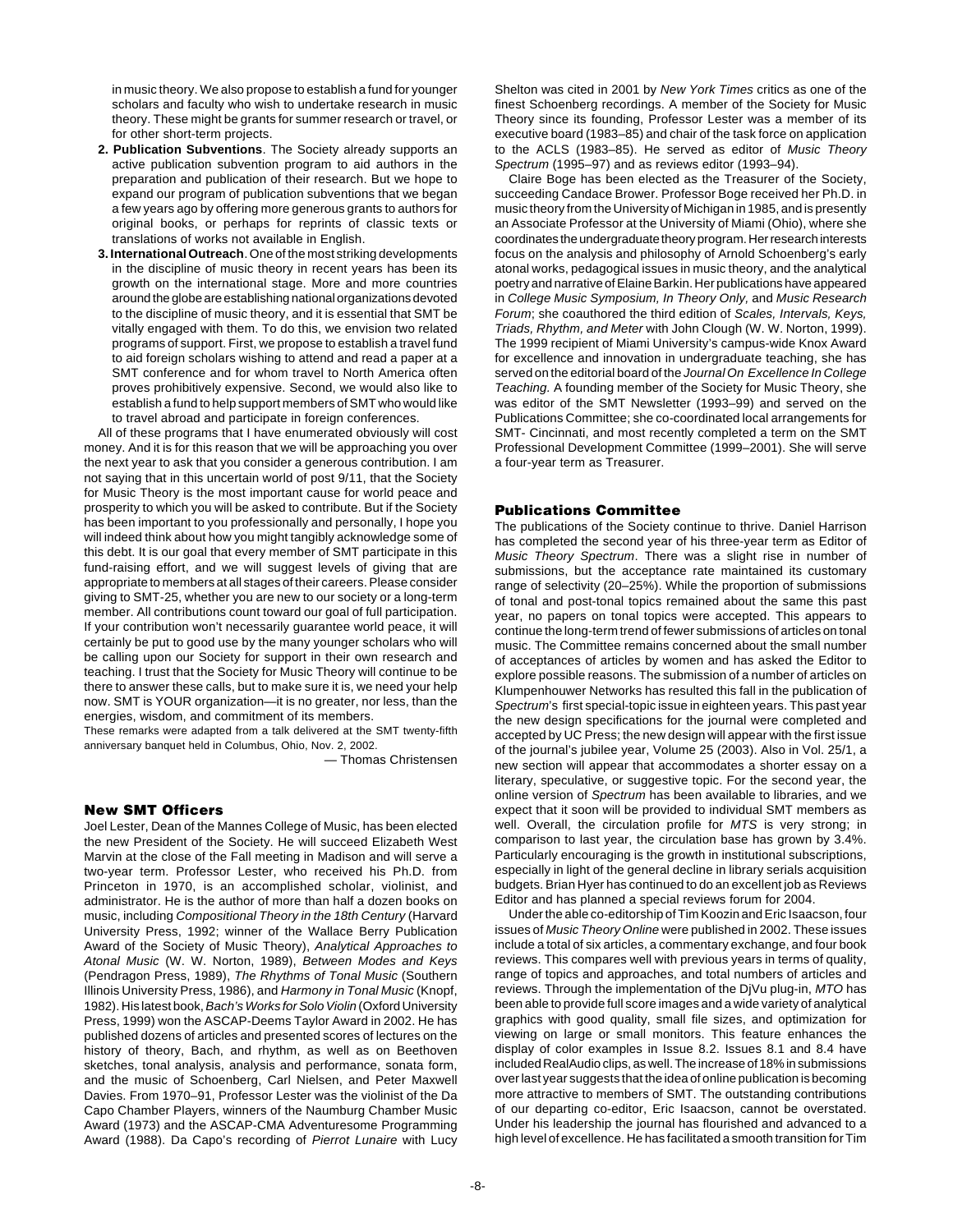in music theory. We also propose to establish a fund for younger scholars and faculty who wish to undertake research in music theory. These might be grants for summer research or travel, or for other short-term projects.

- **2. Publication Subventions**. The Society already supports an active publication subvention program to aid authors in the preparation and publication of their research. But we hope to expand our program of publication subventions that we began a few years ago by offering more generous grants to authors for original books, or perhaps for reprints of classic texts or translations of works not available in English.
- **3. International Outreach**. One of the most striking developments in the discipline of music theory in recent years has been its growth on the international stage. More and more countries around the globe are establishing national organizations devoted to the discipline of music theory, and it is essential that SMT be vitally engaged with them. To do this, we envision two related programs of support. First, we propose to establish a travel fund to aid foreign scholars wishing to attend and read a paper at a SMT conference and for whom travel to North America often proves prohibitively expensive. Second, we would also like to establish a fund to help support members of SMT who would like to travel abroad and participate in foreign conferences.

All of these programs that I have enumerated obviously will cost money. And it is for this reason that we will be approaching you over the next year to ask that you consider a generous contribution. I am not saying that in this uncertain world of post 9/11, that the Society for Music Theory is the most important cause for world peace and prosperity to which you will be asked to contribute. But if the Society has been important to you professionally and personally, I hope you will indeed think about how you might tangibly acknowledge some of this debt. It is our goal that every member of SMT participate in this fund-raising effort, and we will suggest levels of giving that are appropriate to members at all stages of their careers. Please consider giving to SMT-25, whether you are new to our society or a long-term member. All contributions count toward our goal of full participation. If your contribution won't necessarily guarantee world peace, it will certainly be put to good use by the many younger scholars who will be calling upon our Society for support in their own research and teaching. I trust that the Society for Music Theory will continue to be there to answer these calls, but to make sure it is, we need your help now. SMT is YOUR organization—it is no greater, nor less, than the energies, wisdom, and commitment of its members.

These remarks were adapted from a talk delivered at the SMT twenty-fifth anniversary banquet held in Columbus, Ohio, Nov. 2, 2002.

— Thomas Christensen

### **New SMT Officers**

Joel Lester, Dean of the Mannes College of Music, has been elected the new President of the Society. He will succeed Elizabeth West Marvin at the close of the Fall meeting in Madison and will serve a two-year term. Professor Lester, who received his Ph.D. from Princeton in 1970, is an accomplished scholar, violinist, and administrator. He is the author of more than half a dozen books on music, including Compositional Theory in the 18th Century (Harvard University Press, 1992; winner of the Wallace Berry Publication Award of the Society of Music Theory), Analytical Approaches to Atonal Music (W. W. Norton, 1989), Between Modes and Keys (Pendragon Press, 1989), The Rhythms of Tonal Music (Southern Illinois University Press, 1986), and Harmony in Tonal Music (Knopf, 1982). His latest book, Bach's Works for Solo Violin (Oxford University Press, 1999) won the ASCAP-Deems Taylor Award in 2002. He has published dozens of articles and presented scores of lectures on the history of theory, Bach, and rhythm, as well as on Beethoven sketches, tonal analysis, analysis and performance, sonata form, and the music of Schoenberg, Carl Nielsen, and Peter Maxwell Davies. From 1970–91, Professor Lester was the violinist of the Da Capo Chamber Players, winners of the Naumburg Chamber Music Award (1973) and the ASCAP-CMA Adventuresome Programming Award (1988). Da Capo's recording of Pierrot Lunaire with Lucy

Shelton was cited in 2001 by New York Times critics as one of the finest Schoenberg recordings. A member of the Society for Music Theory since its founding, Professor Lester was a member of its executive board (1983–85) and chair of the task force on application to the ACLS (1983–85). He served as editor of Music Theory Spectrum (1995–97) and as reviews editor (1993–94).

Claire Boge has been elected as the Treasurer of the Society, succeeding Candace Brower. Professor Boge received her Ph.D. in music theory from the University of Michigan in 1985, and is presently an Associate Professor at the University of Miami (Ohio), where she coordinates the undergraduate theory program. Her research interests focus on the analysis and philosophy of Arnold Schoenberg's early atonal works, pedagogical issues in music theory, and the analytical poetry and narrative of Elaine Barkin. Her publications have appeared in College Music Symposium, In Theory Only, and Music Research Forum; she coauthored the third edition of Scales, Intervals, Keys, Triads, Rhythm, and Meter with John Clough (W. W. Norton, 1999). The 1999 recipient of Miami University's campus-wide Knox Award for excellence and innovation in undergraduate teaching, she has served on the editorial board of the Journal On Excellence In College Teaching. A founding member of the Society for Music Theory, she was editor of the SMT Newsletter (1993–99) and served on the Publications Committee; she co-coordinated local arrangements for SMT- Cincinnati, and most recently completed a term on the SMT Professional Development Committee (1999–2001). She will serve a four-year term as Treasurer.

### **Publications Committee**

The publications of the Society continue to thrive. Daniel Harrison has completed the second year of his three-year term as Editor of Music Theory Spectrum. There was a slight rise in number of submissions, but the acceptance rate maintained its customary range of selectivity (20–25%). While the proportion of submissions of tonal and post-tonal topics remained about the same this past year, no papers on tonal topics were accepted. This appears to continue the long-term trend of fewer submissions of articles on tonal music. The Committee remains concerned about the small number of acceptances of articles by women and has asked the Editor to explore possible reasons. The submission of a number of articles on Klumpenhouwer Networks has resulted this fall in the publication of Spectrum's first special-topic issue in eighteen years. This past year the new design specifications for the journal were completed and accepted by UC Press; the new design will appear with the first issue of the journal's jubilee year, Volume 25 (2003). Also in Vol. 25/1, a new section will appear that accommodates a shorter essay on a literary, speculative, or suggestive topic. For the second year, the online version of Spectrum has been available to libraries, and we expect that it soon will be provided to individual SMT members as well. Overall, the circulation profile for MTS is very strong; in comparison to last year, the circulation base has grown by 3.4%. Particularly encouraging is the growth in institutional subscriptions, especially in light of the general decline in library serials acquisition budgets. Brian Hyer has continued to do an excellent job as Reviews Editor and has planned a special reviews forum for 2004.

Under the able co-editorship of Tim Koozin and Eric Isaacson, four issues of Music Theory Online were published in 2002. These issues include a total of six articles, a commentary exchange, and four book reviews. This compares well with previous years in terms of quality, range of topics and approaches, and total numbers of articles and reviews. Through the implementation of the DjVu plug-in, MTO has been able to provide full score images and a wide variety of analytical graphics with good quality, small file sizes, and optimization for viewing on large or small monitors. This feature enhances the display of color examples in Issue 8.2. Issues 8.1 and 8.4 have included RealAudio clips, as well. The increase of 18% in submissions over last year suggests that the idea of online publication is becoming more attractive to members of SMT. The outstanding contributions of our departing co-editor, Eric Isaacson, cannot be overstated. Under his leadership the journal has flourished and advanced to a high level of excellence. He has facilitated a smooth transition for Tim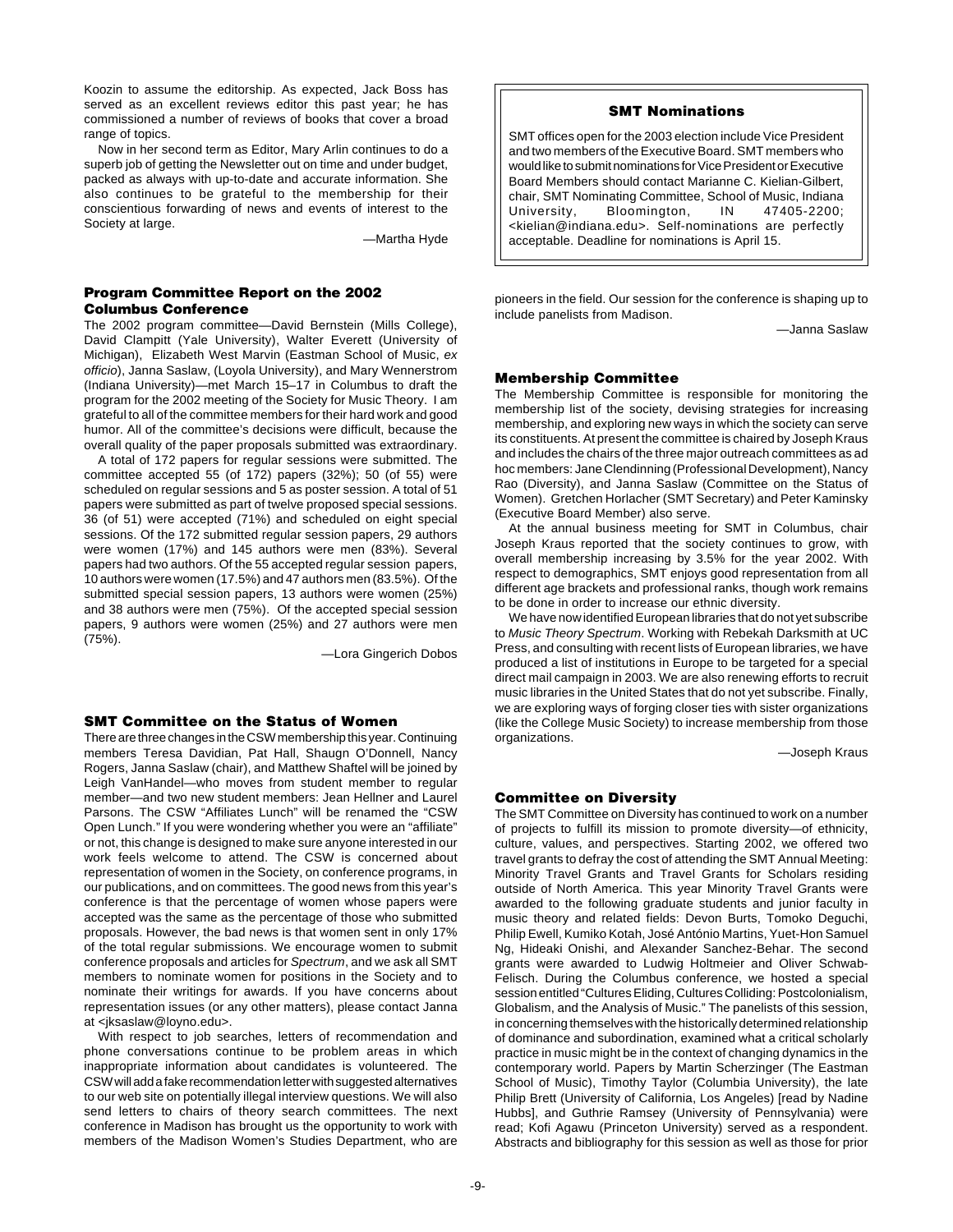Koozin to assume the editorship. As expected, Jack Boss has served as an excellent reviews editor this past year; he has commissioned a number of reviews of books that cover a broad range of topics.

Now in her second term as Editor, Mary Arlin continues to do a superb job of getting the Newsletter out on time and under budget, packed as always with up-to-date and accurate information. She also continues to be grateful to the membership for their conscientious forwarding of news and events of interest to the Society at large.

—Martha Hyde

# **Program Committee Report on the 2002 Columbus Conference**

The 2002 program committee—David Bernstein (Mills College), David Clampitt (Yale University), Walter Everett (University of Michigan), Elizabeth West Marvin (Eastman School of Music, ex officio), Janna Saslaw, (Loyola University), and Mary Wennerstrom (Indiana University)—met March 15–17 in Columbus to draft the program for the 2002 meeting of the Society for Music Theory. I am grateful to all of the committee members for their hard work and good humor. All of the committee's decisions were difficult, because the overall quality of the paper proposals submitted was extraordinary.

A total of 172 papers for regular sessions were submitted. The committee accepted 55 (of 172) papers (32%); 50 (of 55) were scheduled on regular sessions and 5 as poster session. A total of 51 papers were submitted as part of twelve proposed special sessions. 36 (of 51) were accepted (71%) and scheduled on eight special sessions. Of the 172 submitted regular session papers, 29 authors were women (17%) and 145 authors were men (83%). Several papers had two authors. Of the 55 accepted regular session papers, 10 authors were women (17.5%) and 47 authors men (83.5%). Of the submitted special session papers, 13 authors were women (25%) and 38 authors were men (75%). Of the accepted special session papers, 9 authors were women (25%) and 27 authors were men (75%).

—Lora Gingerich Dobos

### **SMT Committee on the Status of Women**

There are three changes in the CSW membership this year. Continuing members Teresa Davidian, Pat Hall, Shaugn O'Donnell, Nancy Rogers, Janna Saslaw (chair), and Matthew Shaftel will be joined by Leigh VanHandel—who moves from student member to regular member—and two new student members: Jean Hellner and Laurel Parsons. The CSW "Affiliates Lunch" will be renamed the "CSW Open Lunch." If you were wondering whether you were an "affiliate" or not, this change is designed to make sure anyone interested in our work feels welcome to attend. The CSW is concerned about representation of women in the Society, on conference programs, in our publications, and on committees. The good news from this year's conference is that the percentage of women whose papers were accepted was the same as the percentage of those who submitted proposals. However, the bad news is that women sent in only 17% of the total regular submissions. We encourage women to submit conference proposals and articles for Spectrum, and we ask all SMT members to nominate women for positions in the Society and to nominate their writings for awards. If you have concerns about representation issues (or any other matters), please contact Janna at <jksaslaw@loyno.edu>.

With respect to job searches, letters of recommendation and phone conversations continue to be problem areas in which inappropriate information about candidates is volunteered. The CSW will add a fake recommendation letter with suggested alternatives to our web site on potentially illegal interview questions. We will also send letters to chairs of theory search committees. The next conference in Madison has brought us the opportunity to work with members of the Madison Women's Studies Department, who are

# **SMT Nominations**

SMT offices open for the 2003 election include Vice President and two members of the Executive Board. SMT members who would like to submit nominations for Vice President or Executive Board Members should contact Marianne C. Kielian-Gilbert, chair, SMT Nominating Committee, School of Music, Indiana University, Bloomington, IN 47405-2200; <kielian@indiana.edu>. Self-nominations are perfectly acceptable. Deadline for nominations is April 15.

pioneers in the field. Our session for the conference is shaping up to include panelists from Madison.

—Janna Saslaw

# **Membership Committee**

The Membership Committee is responsible for monitoring the membership list of the society, devising strategies for increasing membership, and exploring new ways in which the society can serve its constituents. At present the committee is chaired by Joseph Kraus and includes the chairs of the three major outreach committees as ad hoc members: Jane Clendinning (Professional Development), Nancy Rao (Diversity), and Janna Saslaw (Committee on the Status of Women). Gretchen Horlacher (SMT Secretary) and Peter Kaminsky (Executive Board Member) also serve.

At the annual business meeting for SMT in Columbus, chair Joseph Kraus reported that the society continues to grow, with overall membership increasing by 3.5% for the year 2002. With respect to demographics, SMT enjoys good representation from all different age brackets and professional ranks, though work remains to be done in order to increase our ethnic diversity.

We have now identified European libraries that do not yet subscribe to Music Theory Spectrum. Working with Rebekah Darksmith at UC Press, and consulting with recent lists of European libraries, we have produced a list of institutions in Europe to be targeted for a special direct mail campaign in 2003. We are also renewing efforts to recruit music libraries in the United States that do not yet subscribe. Finally, we are exploring ways of forging closer ties with sister organizations (like the College Music Society) to increase membership from those organizations.

—Joseph Kraus

# **Committee on Diversity**

The SMT Committee on Diversity has continued to work on a number of projects to fulfill its mission to promote diversity—of ethnicity, culture, values, and perspectives. Starting 2002, we offered two travel grants to defray the cost of attending the SMT Annual Meeting: Minority Travel Grants and Travel Grants for Scholars residing outside of North America. This year Minority Travel Grants were awarded to the following graduate students and junior faculty in music theory and related fields: Devon Burts, Tomoko Deguchi, Philip Ewell, Kumiko Kotah, José António Martins, Yuet-Hon Samuel Ng, Hideaki Onishi, and Alexander Sanchez-Behar. The second grants were awarded to Ludwig Holtmeier and Oliver Schwab-Felisch. During the Columbus conference, we hosted a special session entitled "Cultures Eliding, Cultures Colliding: Postcolonialism, Globalism, and the Analysis of Music." The panelists of this session, in concerning themselves with the historically determined relationship of dominance and subordination, examined what a critical scholarly practice in music might be in the context of changing dynamics in the contemporary world. Papers by Martin Scherzinger (The Eastman School of Music), Timothy Taylor (Columbia University), the late Philip Brett (University of California, Los Angeles) [read by Nadine Hubbs], and Guthrie Ramsey (University of Pennsylvania) were read; Kofi Agawu (Princeton University) served as a respondent. Abstracts and bibliography for this session as well as those for prior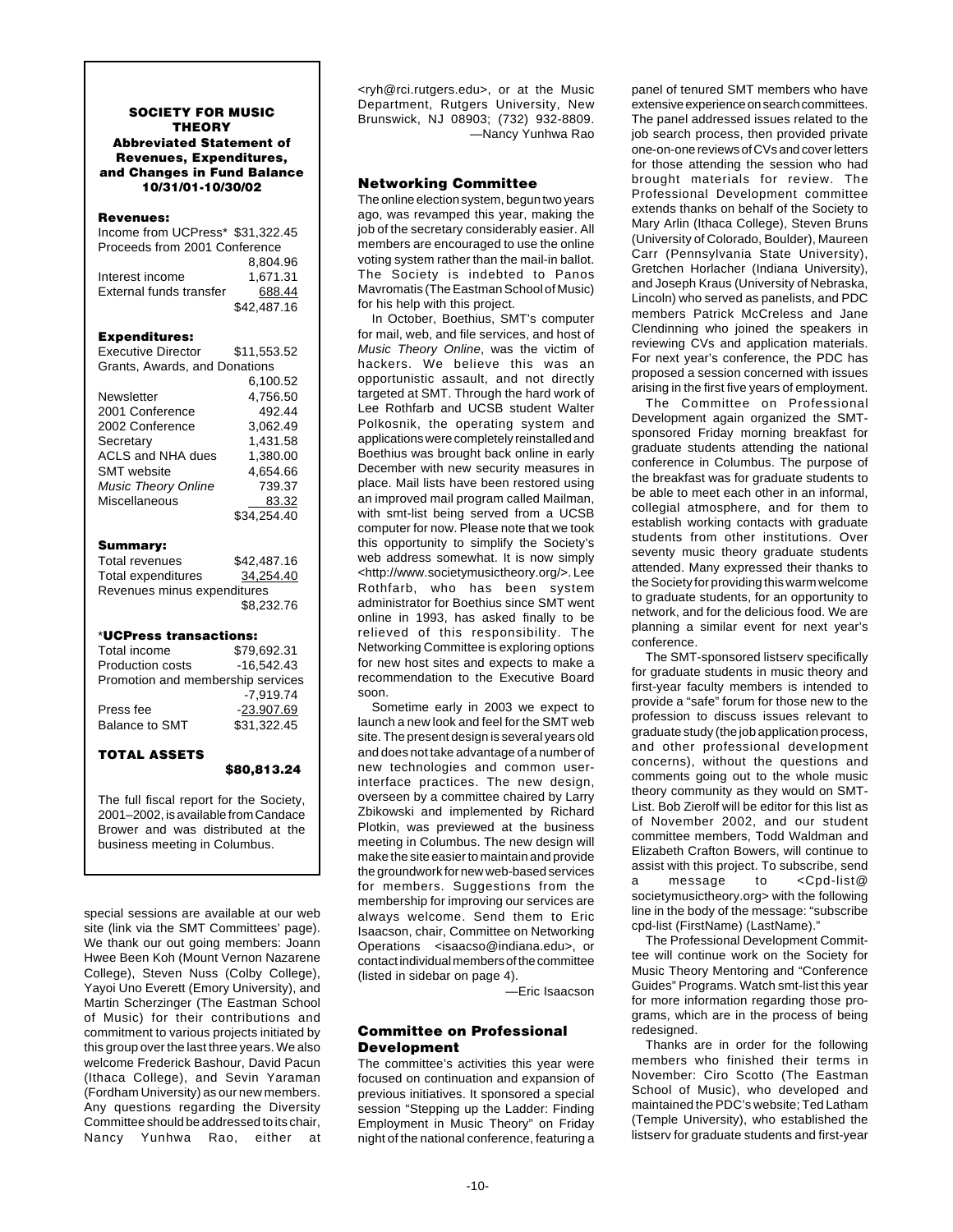# **SOCIETY FOR MUSIC THEORY Abbreviated Statement of Revenues, Expenditures, and Changes in Fund Balance 10/31/01-10/30/02**

# **Revenues:**

|                                                                   | \$80,813.24          |
|-------------------------------------------------------------------|----------------------|
| <b>TOTAL ASSETS</b>                                               |                      |
| <b>Balance to SMT</b>                                             | \$31,322.45          |
| Press fee                                                         | -23.907.69           |
|                                                                   | $-7.919.74$          |
| Promotion and membership services                                 | $-16,542.43$         |
| Total income<br>Production costs                                  | \$79,692.31          |
| *UCPress transactions:                                            |                      |
|                                                                   | \$8,232.76           |
| Revenues minus expenditures                                       |                      |
| <b>Total expenditures</b>                                         | 34,254.40            |
| Summary:<br><b>Total revenues</b>                                 | \$42.487.16          |
|                                                                   |                      |
|                                                                   | 83.32<br>\$34,254.40 |
| <b>Music Theory Online</b><br>Miscellaneous                       | 739.37               |
| <b>SMT</b> website                                                | 4,654.66             |
| <b>ACLS and NHA dues</b>                                          | 1,380.00             |
| Secretary                                                         | 1,431.58             |
| 2002 Conference                                                   | 3.062.49             |
| 2001 Conference                                                   | 492.44               |
| Newsletter                                                        | 4,756.50             |
|                                                                   | 6,100.52             |
| Grants, Awards, and Donations                                     |                      |
| <b>Executive Director</b>                                         | \$11,553.52          |
| <b>Expenditures:</b>                                              |                      |
|                                                                   | \$42.487.16          |
| External funds transfer                                           | 688.44               |
| Interest income                                                   | 1,671.31             |
|                                                                   | 8.804.96             |
| Income from UCPress* \$31,322.45<br>Proceeds from 2001 Conference |                      |
|                                                                   |                      |

The full fiscal report for the Society, 2001–2002, is available from Candace Brower and was distributed at the business meeting in Columbus.

special sessions are available at our web site (link via the SMT Committees' page). We thank our out going members: Joann Hwee Been Koh (Mount Vernon Nazarene College), Steven Nuss (Colby College), Yayoi Uno Everett (Emory University), and Martin Scherzinger (The Eastman School of Music) for their contributions and commitment to various projects initiated by this group over the last three years. We also welcome Frederick Bashour, David Pacun (Ithaca College), and Sevin Yaraman (Fordham University) as our new members. Any questions regarding the Diversity Committee should be addressed to its chair, Nancy Yunhwa Rao, either at <ryh@rci.rutgers.edu>, or at the Music Department, Rutgers University, New Brunswick, NJ 08903; (732) 932-8809. —Nancy Yunhwa Rao

### **Networking Committee**

The online election system, begun two years ago, was revamped this year, making the job of the secretary considerably easier. All members are encouraged to use the online voting system rather than the mail-in ballot. The Society is indebted to Panos Mavromatis (The Eastman School of Music) for his help with this project.

In October, Boethius, SMT's computer for mail, web, and file services, and host of Music Theory Online, was the victim of hackers. We believe this was an opportunistic assault, and not directly targeted at SMT. Through the hard work of Lee Rothfarb and UCSB student Walter Polkosnik, the operating system and applications were completely reinstalled and Boethius was brought back online in early December with new security measures in place. Mail lists have been restored using an improved mail program called Mailman, with smt-list being served from a UCSB computer for now. Please note that we took this opportunity to simplify the Society's web address somewhat. It is now simply <http://www.societymusictheory.org/>. Lee Rothfarb, who has been system administrator for Boethius since SMT went online in 1993, has asked finally to be relieved of this responsibility. The Networking Committee is exploring options for new host sites and expects to make a recommendation to the Executive Board soon.

Sometime early in 2003 we expect to launch a new look and feel for the SMT web site. The present design is several years old and does not take advantage of a number of new technologies and common userinterface practices. The new design, overseen by a committee chaired by Larry Zbikowski and implemented by Richard Plotkin, was previewed at the business meeting in Columbus. The new design will make the site easier to maintain and provide the groundwork for new web-based services for members. Suggestions from the membership for improving our services are always welcome. Send them to Eric Isaacson, chair, Committee on Networking Operations <isaacso@indiana.edu>, or contact individual members of the committee (listed in sidebar on page 4).

—Eric Isaacson

# **Committee on Professional Development**

The committee's activities this year were focused on continuation and expansion of previous initiatives. It sponsored a special session "Stepping up the Ladder: Finding Employment in Music Theory" on Friday night of the national conference, featuring a panel of tenured SMT members who have extensive experience on search committees. The panel addressed issues related to the job search process, then provided private one-on-one reviews of CVs and cover letters for those attending the session who had brought materials for review. The Professional Development committee extends thanks on behalf of the Society to Mary Arlin (Ithaca College), Steven Bruns (University of Colorado, Boulder), Maureen Carr (Pennsylvania State University), Gretchen Horlacher (Indiana University), and Joseph Kraus (University of Nebraska, Lincoln) who served as panelists, and PDC members Patrick McCreless and Jane Clendinning who joined the speakers in reviewing CVs and application materials. For next year's conference, the PDC has proposed a session concerned with issues arising in the first five years of employment.

The Committee on Professional Development again organized the SMTsponsored Friday morning breakfast for graduate students attending the national conference in Columbus. The purpose of the breakfast was for graduate students to be able to meet each other in an informal, collegial atmosphere, and for them to establish working contacts with graduate students from other institutions. Over seventy music theory graduate students attended. Many expressed their thanks to the Society for providing this warm welcome to graduate students, for an opportunity to network, and for the delicious food. We are planning a similar event for next year's conference.

The SMT-sponsored listserv specifically for graduate students in music theory and first-year faculty members is intended to provide a "safe" forum for those new to the profession to discuss issues relevant to graduate study (the job application process, and other professional development concerns), without the questions and comments going out to the whole music theory community as they would on SMT-List. Bob Zierolf will be editor for this list as of November 2002, and our student committee members, Todd Waldman and Elizabeth Crafton Bowers, will continue to assist with this project. To subscribe, send a message to <Cpd-list@ societymusictheory.org> with the following line in the body of the message: "subscribe cpd-list (FirstName) (LastName)."

The Professional Development Committee will continue work on the Society for Music Theory Mentoring and "Conference Guides" Programs. Watch smt-list this year for more information regarding those programs, which are in the process of being redesigned.

Thanks are in order for the following members who finished their terms in November: Ciro Scotto (The Eastman School of Music), who developed and maintained the PDC's website; Ted Latham (Temple University), who established the listserv for graduate students and first-year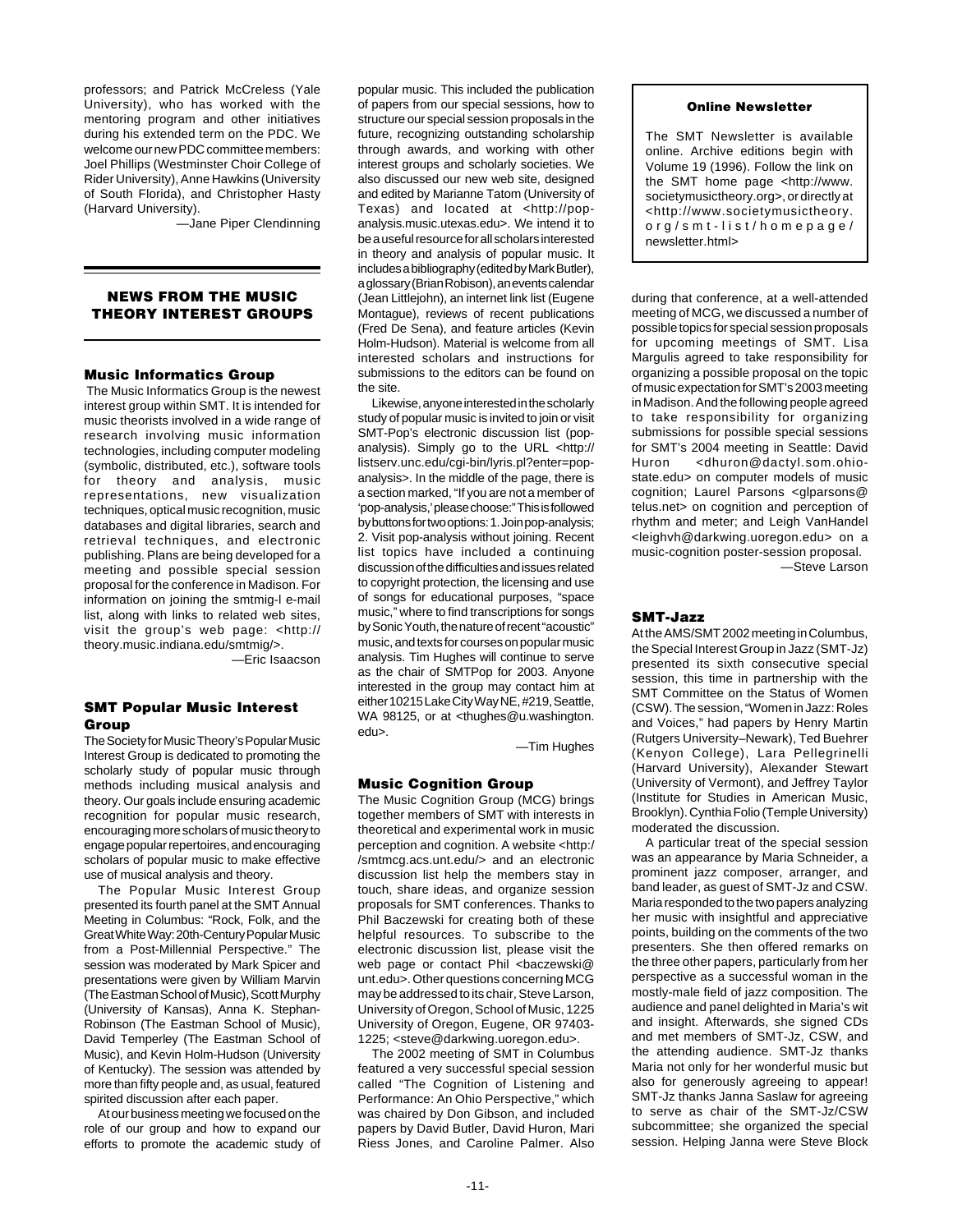professors; and Patrick McCreless (Yale University), who has worked with the mentoring program and other initiatives during his extended term on the PDC. We welcome our new PDC committee members: Joel Phillips (Westminster Choir College of Rider University), Anne Hawkins (University of South Florida), and Christopher Hasty (Harvard University).

—Jane Piper Clendinning

# **NEWS FROM THE MUSIC THEORY INTEREST GROUPS**

# **Music Informatics Group**

 The Music Informatics Group is the newest interest group within SMT. It is intended for music theorists involved in a wide range of research involving music information technologies, including computer modeling (symbolic, distributed, etc.), software tools for theory and analysis, music representations, new visualization techniques, optical music recognition, music databases and digital libraries, search and retrieval techniques, and electronic publishing. Plans are being developed for a meeting and possible special session proposal for the conference in Madison. For information on joining the smtmig-l e-mail list, along with links to related web sites, visit the group's web page: <http:// theory.music.indiana.edu/smtmig/>.

—Eric Isaacson

# **SMT Popular Music Interest Group**

The Society for Music Theory's Popular Music Interest Group is dedicated to promoting the scholarly study of popular music through methods including musical analysis and theory. Our goals include ensuring academic recognition for popular music research, encouraging more scholars of music theory to engage popular repertoires, and encouraging scholars of popular music to make effective use of musical analysis and theory.

The Popular Music Interest Group presented its fourth panel at the SMT Annual Meeting in Columbus: "Rock, Folk, and the Great White Way: 20th-Century Popular Music from a Post-Millennial Perspective." The session was moderated by Mark Spicer and presentations were given by William Marvin (The Eastman School of Music), Scott Murphy (University of Kansas), Anna K. Stephan-Robinson (The Eastman School of Music), David Temperley (The Eastman School of Music), and Kevin Holm-Hudson (University of Kentucky). The session was attended by more than fifty people and, as usual, featured spirited discussion after each paper.

At our business meeting we focused on the role of our group and how to expand our efforts to promote the academic study of

popular music. This included the publication of papers from our special sessions, how to structure our special session proposals in the future, recognizing outstanding scholarship through awards, and working with other interest groups and scholarly societies. We also discussed our new web site, designed and edited by Marianne Tatom (University of Texas) and located at <http://popanalysis.music.utexas.edu>. We intend it to be a useful resource for all scholars interested in theory and analysis of popular music. It includes a bibliography (edited by Mark Butler), a glossary (Brian Robison), an events calendar (Jean Littlejohn), an internet link list (Eugene Montague), reviews of recent publications (Fred De Sena), and feature articles (Kevin Holm-Hudson). Material is welcome from all interested scholars and instructions for submissions to the editors can be found on the site.

Likewise, anyone interested in the scholarly study of popular music is invited to join or visit SMT-Pop's electronic discussion list (popanalysis). Simply go to the URL <http:// listserv.unc.edu/cgi-bin/lyris.pl?enter=popanalysis>. In the middle of the page, there is a section marked, "If you are not a member of 'pop-analysis,' please choose:" This is followed by buttons for two options: 1. Join pop-analysis; 2. Visit pop-analysis without joining. Recent list topics have included a continuing discussion of the difficulties and issues related to copyright protection, the licensing and use of songs for educational purposes, "space music," where to find transcriptions for songs by Sonic Youth, the nature of recent "acoustic" music, and texts for courses on popular music analysis. Tim Hughes will continue to serve as the chair of SMTPop for 2003. Anyone interested in the group may contact him at either 10215 Lake City Way NE, #219, Seattle, WA 98125, or at <thughes@u.washington. edu>.

—Tim Hughes

### **Music Cognition Group**

The Music Cognition Group (MCG) brings together members of SMT with interests in theoretical and experimental work in music perception and cognition. A website <http:/ /smtmcg.acs.unt.edu/> and an electronic discussion list help the members stay in touch, share ideas, and organize session proposals for SMT conferences. Thanks to Phil Baczewski for creating both of these helpful resources. To subscribe to the electronic discussion list, please visit the web page or contact Phil <br/>baczewski@ unt.edu>. Other questions concerning MCG may be addressed to its chair, Steve Larson, University of Oregon, School of Music, 1225 University of Oregon, Eugene, OR 97403- 1225; <steve@darkwing.uoregon.edu>.

The 2002 meeting of SMT in Columbus featured a very successful special session called "The Cognition of Listening and Performance: An Ohio Perspective," which was chaired by Don Gibson, and included papers by David Butler, David Huron, Mari Riess Jones, and Caroline Palmer. Also

### **Online Newsletter**

The SMT Newsletter is available online. Archive editions begin with Volume 19 (1996). Follow the link on the SMT home page <http://www. societymusictheory.org>, or directly at <http://www.societymusictheory. org/smt-list/homepage/ newsletter.html>

during that conference, at a well-attended meeting of MCG, we discussed a number of possible topics for special session proposals for upcoming meetings of SMT. Lisa Margulis agreed to take responsibility for organizing a possible proposal on the topic of music expectation for SMT's 2003 meeting in Madison. And the following people agreed to take responsibility for organizing submissions for possible special sessions for SMT's 2004 meeting in Seattle: David Huron <dhuron@dactyl.som.ohiostate.edu> on computer models of music cognition; Laurel Parsons <glparsons@ telus.net> on cognition and perception of rhythm and meter; and Leigh VanHandel <leighvh@darkwing.uoregon.edu> on a music-cognition poster-session proposal. —Steve Larson

**SMT-Jazz**

At the AMS/SMT 2002 meeting in Columbus, the Special Interest Group in Jazz (SMT-Jz) presented its sixth consecutive special session, this time in partnership with the SMT Committee on the Status of Women (CSW). The session, "Women in Jazz: Roles and Voices," had papers by Henry Martin (Rutgers University–Newark), Ted Buehrer (Kenyon College), Lara Pellegrinelli (Harvard University), Alexander Stewart (University of Vermont), and Jeffrey Taylor (Institute for Studies in American Music, Brooklyn). Cynthia Folio (Temple University) moderated the discussion.

A particular treat of the special session was an appearance by Maria Schneider, a prominent jazz composer, arranger, and band leader, as guest of SMT-Jz and CSW. Maria responded to the two papers analyzing her music with insightful and appreciative points, building on the comments of the two presenters. She then offered remarks on the three other papers, particularly from her perspective as a successful woman in the mostly-male field of jazz composition. The audience and panel delighted in Maria's wit and insight. Afterwards, she signed CDs and met members of SMT-Jz, CSW, and the attending audience. SMT-Jz thanks Maria not only for her wonderful music but also for generously agreeing to appear! SMT-Jz thanks Janna Saslaw for agreeing to serve as chair of the SMT-Jz/CSW subcommittee; she organized the special session. Helping Janna were Steve Block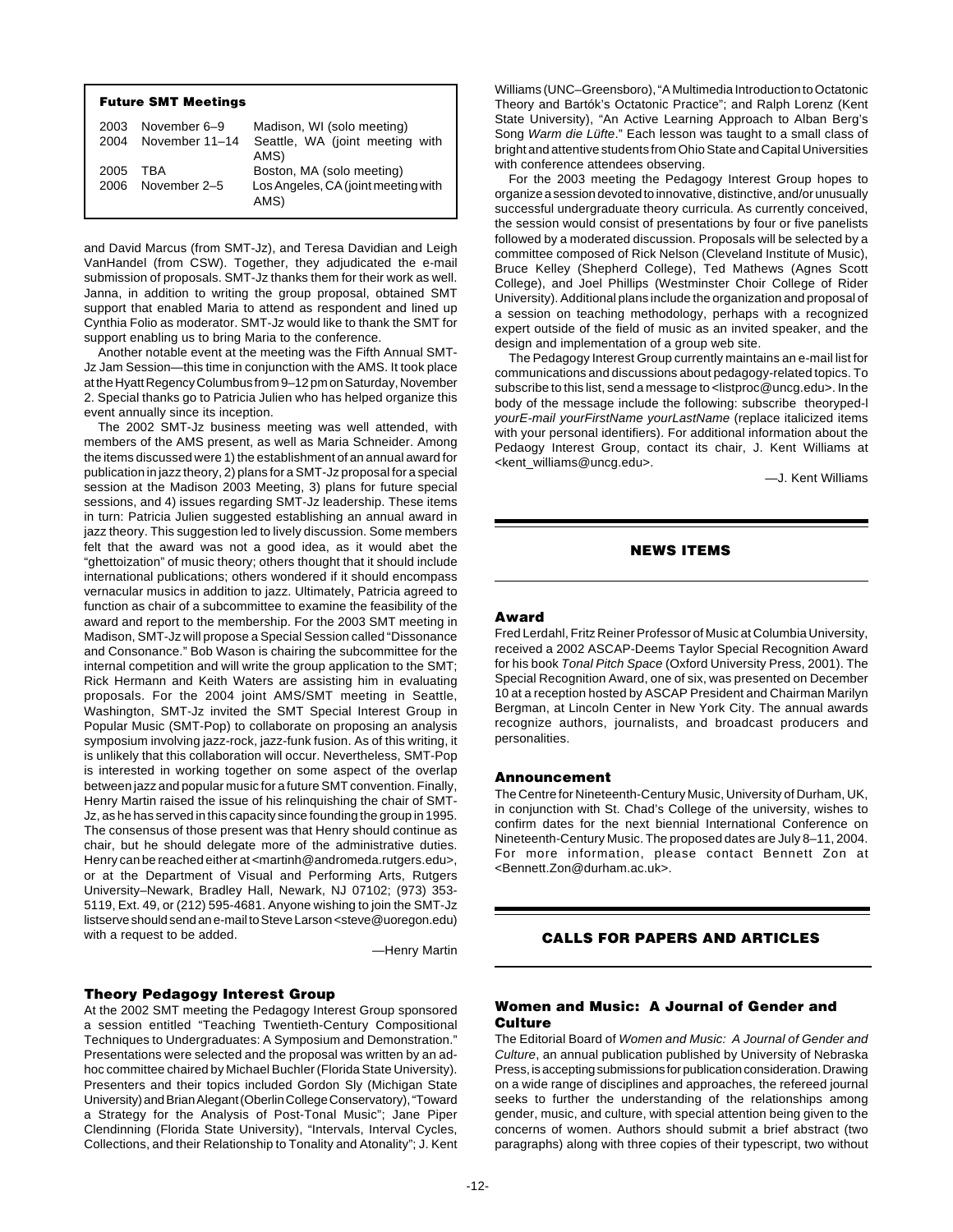| <b>Future SMT Meetings</b> |                |                                             |
|----------------------------|----------------|---------------------------------------------|
| 2003                       | November 6-9   | Madison, WI (solo meeting)                  |
| 2004                       | November 11-14 | Seattle, WA (joint meeting with<br>AMS)     |
| 2005                       | TBA            | Boston, MA (solo meeting)                   |
| 2006                       | November 2-5   | Los Angeles, CA (joint meeting with<br>AMS) |

and David Marcus (from SMT-Jz), and Teresa Davidian and Leigh VanHandel (from CSW). Together, they adjudicated the e-mail submission of proposals. SMT-Jz thanks them for their work as well. Janna, in addition to writing the group proposal, obtained SMT support that enabled Maria to attend as respondent and lined up Cynthia Folio as moderator. SMT-Jz would like to thank the SMT for support enabling us to bring Maria to the conference.

Another notable event at the meeting was the Fifth Annual SMT-Jz Jam Session—this time in conjunction with the AMS. It took place at the Hyatt Regency Columbus from 9–12 pm on Saturday, November 2. Special thanks go to Patricia Julien who has helped organize this event annually since its inception.

The 2002 SMT-Jz business meeting was well attended, with members of the AMS present, as well as Maria Schneider. Among the items discussed were 1) the establishment of an annual award for publication in jazz theory, 2) plans for a SMT-Jz proposal for a special session at the Madison 2003 Meeting, 3) plans for future special sessions, and 4) issues regarding SMT-Jz leadership. These items in turn: Patricia Julien suggested establishing an annual award in jazz theory. This suggestion led to lively discussion. Some members felt that the award was not a good idea, as it would abet the "ghettoization" of music theory; others thought that it should include international publications; others wondered if it should encompass vernacular musics in addition to jazz. Ultimately, Patricia agreed to function as chair of a subcommittee to examine the feasibility of the award and report to the membership. For the 2003 SMT meeting in Madison, SMT-Jz will propose a Special Session called "Dissonance and Consonance." Bob Wason is chairing the subcommittee for the internal competition and will write the group application to the SMT; Rick Hermann and Keith Waters are assisting him in evaluating proposals. For the 2004 joint AMS/SMT meeting in Seattle, Washington, SMT-Jz invited the SMT Special Interest Group in Popular Music (SMT-Pop) to collaborate on proposing an analysis symposium involving jazz-rock, jazz-funk fusion. As of this writing, it is unlikely that this collaboration will occur. Nevertheless, SMT-Pop is interested in working together on some aspect of the overlap between jazz and popular music for a future SMT convention. Finally, Henry Martin raised the issue of his relinquishing the chair of SMT-Jz, as he has served in this capacity since founding the group in 1995. The consensus of those present was that Henry should continue as chair, but he should delegate more of the administrative duties. Henry can be reached either at <martinh@andromeda.rutgers.edu>, or at the Department of Visual and Performing Arts, Rutgers University–Newark, Bradley Hall, Newark, NJ 07102; (973) 353- 5119, Ext. 49, or (212) 595-4681. Anyone wishing to join the SMT-Jz listserve should send an e-mail to Steve Larson <steve@uoregon.edu) with a request to be added.

—Henry Martin

# **Theory Pedagogy Interest Group**

At the 2002 SMT meeting the Pedagogy Interest Group sponsored a session entitled "Teaching Twentieth-Century Compositional Techniques to Undergraduates: A Symposium and Demonstration." Presentations were selected and the proposal was written by an adhoc committee chaired by Michael Buchler (Florida State University). Presenters and their topics included Gordon Sly (Michigan State University) and Brian Alegant (Oberlin College Conservatory), "Toward a Strategy for the Analysis of Post-Tonal Music"; Jane Piper Clendinning (Florida State University), "Intervals, Interval Cycles, Collections, and their Relationship to Tonality and Atonality"; J. Kent

Williams (UNC–Greensboro), "A Multimedia Introduction to Octatonic Theory and Bartók's Octatonic Practice"; and Ralph Lorenz (Kent State University), "An Active Learning Approach to Alban Berg's Song Warm die Lüfte." Each lesson was taught to a small class of bright and attentive students from Ohio State and Capital Universities with conference attendees observing.

For the 2003 meeting the Pedagogy Interest Group hopes to organize a session devoted to innovative, distinctive, and/or unusually successful undergraduate theory curricula. As currently conceived, the session would consist of presentations by four or five panelists followed by a moderated discussion. Proposals will be selected by a committee composed of Rick Nelson (Cleveland Institute of Music), Bruce Kelley (Shepherd College), Ted Mathews (Agnes Scott College), and Joel Phillips (Westminster Choir College of Rider University). Additional plans include the organization and proposal of a session on teaching methodology, perhaps with a recognized expert outside of the field of music as an invited speaker, and the design and implementation of a group web site.

The Pedagogy Interest Group currently maintains an e-mail list for communications and discussions about pedagogy-related topics. To subscribe to this list, send a message to <listproc@uncg.edu>. In the body of the message include the following: subscribe theoryped-l yourE-mail yourFirstName yourLastName (replace italicized items with your personal identifiers). For additional information about the Pedaogy Interest Group, contact its chair, J. Kent Williams at <kent\_williams@uncg.edu>.

—J. Kent Williams

# **NEWS ITEMS**

### **Award**

Fred Lerdahl, Fritz Reiner Professor of Music at Columbia University, received a 2002 ASCAP-Deems Taylor Special Recognition Award for his book Tonal Pitch Space (Oxford University Press, 2001). The Special Recognition Award, one of six, was presented on December 10 at a reception hosted by ASCAP President and Chairman Marilyn Bergman, at Lincoln Center in New York City. The annual awards recognize authors, journalists, and broadcast producers and personalities.

### **Announcement**

The Centre for Nineteenth-Century Music, University of Durham, UK, in conjunction with St. Chad's College of the university, wishes to confirm dates for the next biennial International Conference on Nineteenth-Century Music. The proposed dates are July 8–11, 2004. For more information, please contact Bennett Zon at <Bennett.Zon@durham.ac.uk>.

# **CALLS FOR PAPERS AND ARTICLES**

# **Women and Music: A Journal of Gender and Culture**

The Editorial Board of Women and Music: A Journal of Gender and Culture, an annual publication published by University of Nebraska Press, is accepting submissions for publication consideration. Drawing on a wide range of disciplines and approaches, the refereed journal seeks to further the understanding of the relationships among gender, music, and culture, with special attention being given to the concerns of women. Authors should submit a brief abstract (two paragraphs) along with three copies of their typescript, two without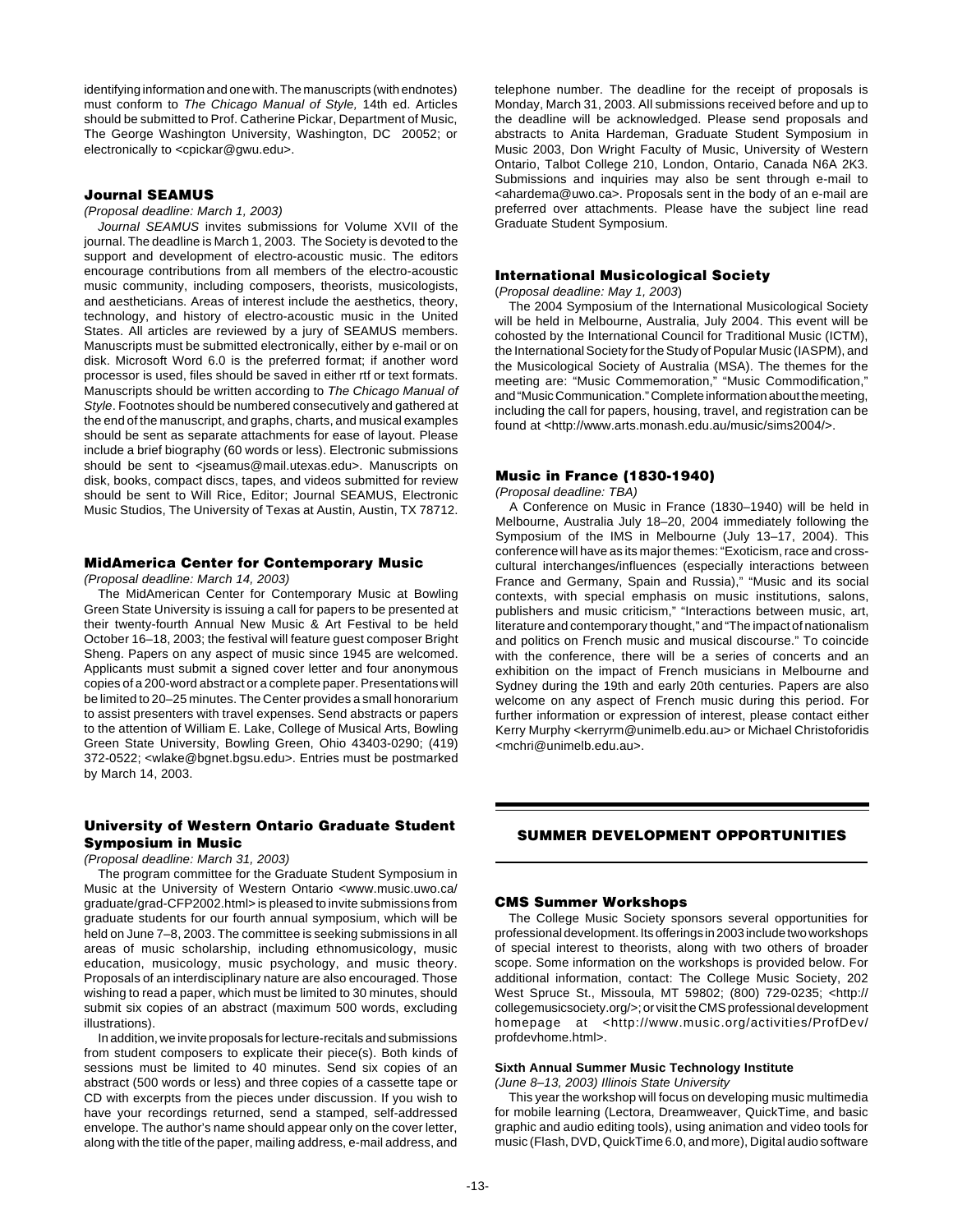identifying information and one with. The manuscripts (with endnotes) must conform to The Chicago Manual of Style, 14th ed. Articles should be submitted to Prof. Catherine Pickar, Department of Music, The George Washington University, Washington, DC 20052; or electronically to <cpickar@gwu.edu>.

# **Journal SEAMUS**

(Proposal deadline: March 1, 2003)

Journal SEAMUS invites submissions for Volume XVII of the journal. The deadline is March 1, 2003. The Society is devoted to the support and development of electro-acoustic music. The editors encourage contributions from all members of the electro-acoustic music community, including composers, theorists, musicologists, and aestheticians. Areas of interest include the aesthetics, theory, technology, and history of electro-acoustic music in the United States. All articles are reviewed by a jury of SEAMUS members. Manuscripts must be submitted electronically, either by e-mail or on disk. Microsoft Word 6.0 is the preferred format; if another word processor is used, files should be saved in either rtf or text formats. Manuscripts should be written according to The Chicago Manual of Style. Footnotes should be numbered consecutively and gathered at the end of the manuscript, and graphs, charts, and musical examples should be sent as separate attachments for ease of layout. Please include a brief biography (60 words or less). Electronic submissions should be sent to <jseamus@mail.utexas.edu>. Manuscripts on disk, books, compact discs, tapes, and videos submitted for review should be sent to Will Rice, Editor; Journal SEAMUS, Electronic Music Studios, The University of Texas at Austin, Austin, TX 78712.

# **MidAmerica Center for Contemporary Music**

(Proposal deadline: March 14, 2003)

The MidAmerican Center for Contemporary Music at Bowling Green State University is issuing a call for papers to be presented at their twenty-fourth Annual New Music & Art Festival to be held October 16–18, 2003; the festival will feature guest composer Bright Sheng. Papers on any aspect of music since 1945 are welcomed. Applicants must submit a signed cover letter and four anonymous copies of a 200-word abstract or a complete paper. Presentations will be limited to 20–25 minutes. The Center provides a small honorarium to assist presenters with travel expenses. Send abstracts or papers to the attention of William E. Lake, College of Musical Arts, Bowling Green State University, Bowling Green, Ohio 43403-0290; (419) 372-0522; <wlake@bgnet.bgsu.edu>. Entries must be postmarked by March 14, 2003.

# **University of Western Ontario Graduate Student Symposium in Music**

### (Proposal deadline: March 31, 2003)

The program committee for the Graduate Student Symposium in Music at the University of Western Ontario <www.music.uwo.ca/ graduate/grad-CFP2002.html> is pleased to invite submissions from graduate students for our fourth annual symposium, which will be held on June 7–8, 2003. The committee is seeking submissions in all areas of music scholarship, including ethnomusicology, music education, musicology, music psychology, and music theory. Proposals of an interdisciplinary nature are also encouraged. Those wishing to read a paper, which must be limited to 30 minutes, should submit six copies of an abstract (maximum 500 words, excluding illustrations).

In addition, we invite proposals for lecture-recitals and submissions from student composers to explicate their piece(s). Both kinds of sessions must be limited to 40 minutes. Send six copies of an abstract (500 words or less) and three copies of a cassette tape or CD with excerpts from the pieces under discussion. If you wish to have your recordings returned, send a stamped, self-addressed envelope. The author's name should appear only on the cover letter, along with the title of the paper, mailing address, e-mail address, and

telephone number. The deadline for the receipt of proposals is Monday, March 31, 2003. All submissions received before and up to the deadline will be acknowledged. Please send proposals and abstracts to Anita Hardeman, Graduate Student Symposium in Music 2003, Don Wright Faculty of Music, University of Western Ontario, Talbot College 210, London, Ontario, Canada N6A 2K3. Submissions and inquiries may also be sent through e-mail to <ahardema@uwo.ca>. Proposals sent in the body of an e-mail are preferred over attachments. Please have the subject line read Graduate Student Symposium.

# **International Musicological Society**

(Proposal deadline: May 1, 2003)

The 2004 Symposium of the International Musicological Society will be held in Melbourne, Australia, July 2004. This event will be cohosted by the International Council for Traditional Music (ICTM), the International Society for the Study of Popular Music (IASPM), and the Musicological Society of Australia (MSA). The themes for the meeting are: "Music Commemoration," "Music Commodification," and "Music Communication." Complete information about the meeting, including the call for papers, housing, travel, and registration can be found at <http://www.arts.monash.edu.au/music/sims2004/>.

### **Music in France (1830-1940)**

(Proposal deadline: TBA)

A Conference on Music in France (1830–1940) will be held in Melbourne, Australia July 18–20, 2004 immediately following the Symposium of the IMS in Melbourne (July 13–17, 2004). This conference will have as its major themes: "Exoticism, race and crosscultural interchanges/influences (especially interactions between France and Germany, Spain and Russia)," "Music and its social contexts, with special emphasis on music institutions, salons, publishers and music criticism," "Interactions between music, art, literature and contemporary thought," and "The impact of nationalism and politics on French music and musical discourse." To coincide with the conference, there will be a series of concerts and an exhibition on the impact of French musicians in Melbourne and Sydney during the 19th and early 20th centuries. Papers are also welcome on any aspect of French music during this period. For further information or expression of interest, please contact either Kerry Murphy <kerryrm@unimelb.edu.au> or Michael Christoforidis <mchri@unimelb.edu.au>.

# **SUMMER DEVELOPMENT OPPORTUNITIES**

### **CMS Summer Workshops**

The College Music Society sponsors several opportunities for professional development. Its offerings in 2003 include two workshops of special interest to theorists, along with two others of broader scope. Some information on the workshops is provided below. For additional information, contact: The College Music Society, 202 West Spruce St., Missoula, MT 59802; (800) 729-0235; <http:// collegemusicsociety.org/>; or visit the CMS professional development homepage at <http://www.music.org/activities/ProfDev/ profdevhome.html>.

# **Sixth Annual Summer Music Technology Institute**

(June 8–13, 2003) Illinois State University

This year the workshop will focus on developing music multimedia for mobile learning (Lectora, Dreamweaver, QuickTime, and basic graphic and audio editing tools), using animation and video tools for music (Flash, DVD, QuickTime 6.0, and more), Digital audio software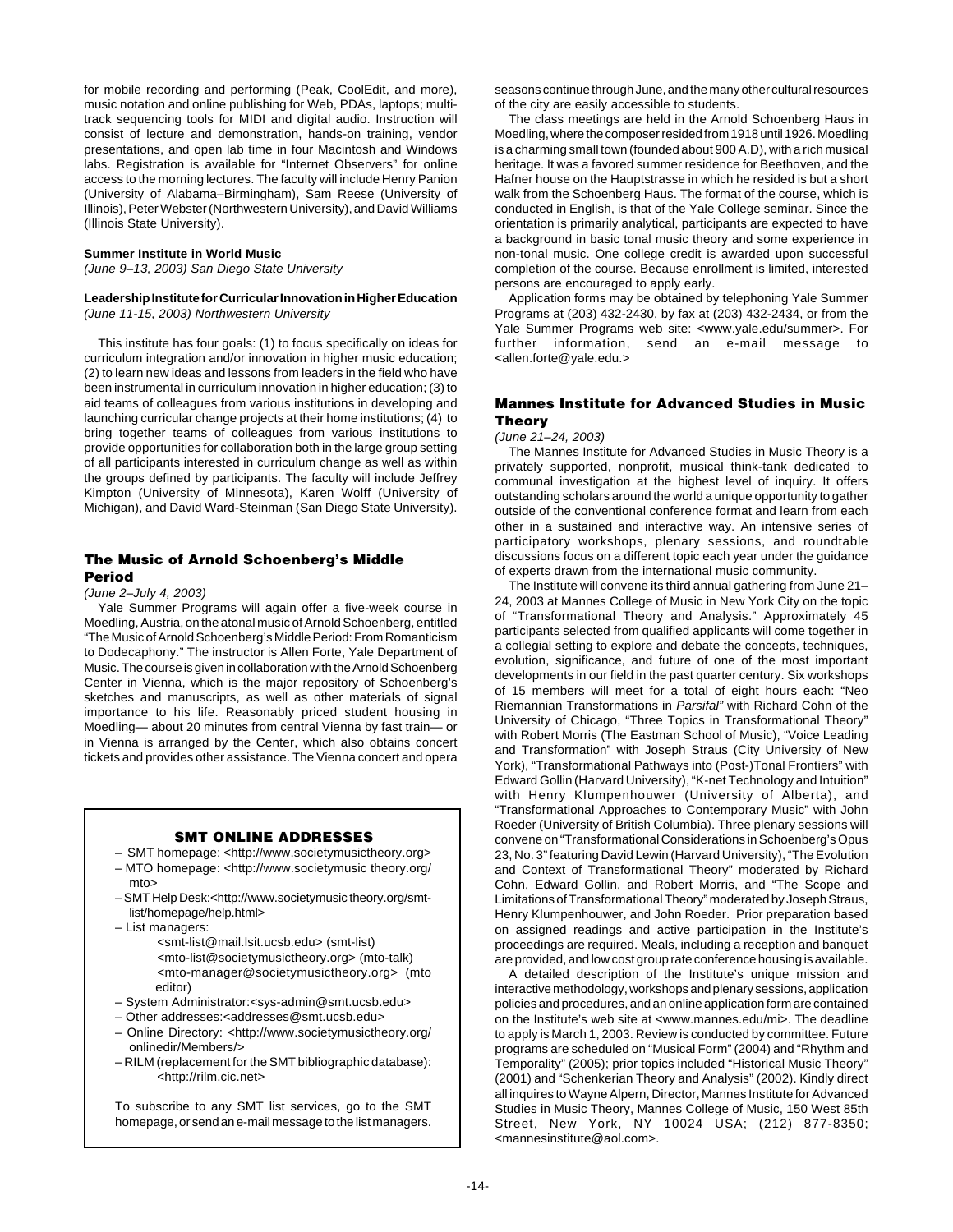for mobile recording and performing (Peak, CoolEdit, and more), music notation and online publishing for Web, PDAs, laptops; multitrack sequencing tools for MIDI and digital audio. Instruction will consist of lecture and demonstration, hands-on training, vendor presentations, and open lab time in four Macintosh and Windows labs. Registration is available for "Internet Observers" for online access to the morning lectures. The faculty will include Henry Panion (University of Alabama–Birmingham), Sam Reese (University of Illinois), Peter Webster (Northwestern University), and David Williams (Illinois State University).

### **Summer Institute in World Music**

(June 9–13, 2003) San Diego State University

### **Leadership Institute for Curricular Innovation in Higher Education** (June 11-15, 2003) Northwestern University

This institute has four goals: (1) to focus specifically on ideas for curriculum integration and/or innovation in higher music education; (2) to learn new ideas and lessons from leaders in the field who have been instrumental in curriculum innovation in higher education; (3) to aid teams of colleagues from various institutions in developing and launching curricular change projects at their home institutions; (4) to bring together teams of colleagues from various institutions to provide opportunities for collaboration both in the large group setting of all participants interested in curriculum change as well as within the groups defined by participants. The faculty will include Jeffrey Kimpton (University of Minnesota), Karen Wolff (University of Michigan), and David Ward-Steinman (San Diego State University).

# **The Music of Arnold Schoenberg's Middle Period**

# (June 2–July 4, 2003)

Yale Summer Programs will again offer a five-week course in Moedling, Austria, on the atonal music of Arnold Schoenberg, entitled "The Music of Arnold Schoenberg's Middle Period: From Romanticism to Dodecaphony." The instructor is Allen Forte, Yale Department of Music. The course is given in collaboration with the Arnold Schoenberg Center in Vienna, which is the major repository of Schoenberg's sketches and manuscripts, as well as other materials of signal importance to his life. Reasonably priced student housing in Moedling— about 20 minutes from central Vienna by fast train— or in Vienna is arranged by the Center, which also obtains concert tickets and provides other assistance. The Vienna concert and opera

### **SMT ONLINE ADDRESSES**

- SMT homepage: <http://www.societymusictheory.org>
- MTO homepage: <http://www.societymusic theory.org/ mto>
- SMT Help Desk:<http://www.societymusic theory.org/smtlist/homepage/help.html>
- List managers:
	- <smt-list@mail.lsit.ucsb.edu> (smt-list) <mto-list@societymusictheory.org> (mto-talk) <mto-manager@societymusictheory.org> (mto editor)
- System Administrator:<sys-admin@smt.ucsb.edu>
- Other addresses:<addresses@smt.ucsb.edu>
- Online Directory: <http://www.societymusictheory.org/ onlinedir/Members/>
- RILM (replacement for the SMT bibliographic database): <http://rilm.cic.net>

To subscribe to any SMT list services, go to the SMT homepage, or send an e-mail message to the list managers.

seasons continue through June, and the many other cultural resources of the city are easily accessible to students.

The class meetings are held in the Arnold Schoenberg Haus in Moedling, where the composer resided from 1918 until 1926. Moedling is a charming small town (founded about 900 A.D), with a rich musical heritage. It was a favored summer residence for Beethoven, and the Hafner house on the Hauptstrasse in which he resided is but a short walk from the Schoenberg Haus. The format of the course, which is conducted in English, is that of the Yale College seminar. Since the orientation is primarily analytical, participants are expected to have a background in basic tonal music theory and some experience in non-tonal music. One college credit is awarded upon successful completion of the course. Because enrollment is limited, interested persons are encouraged to apply early.

Application forms may be obtained by telephoning Yale Summer Programs at (203) 432-2430, by fax at (203) 432-2434, or from the Yale Summer Programs web site: <www.yale.edu/summer>. For further information, send an e-mail message to <allen.forte@yale.edu.>

# **Mannes Institute for Advanced Studies in Music Theory**

# (June 21–24, 2003)

The Mannes Institute for Advanced Studies in Music Theory is a privately supported, nonprofit, musical think-tank dedicated to communal investigation at the highest level of inquiry. It offers outstanding scholars around the world a unique opportunity to gather outside of the conventional conference format and learn from each other in a sustained and interactive way. An intensive series of participatory workshops, plenary sessions, and roundtable discussions focus on a different topic each year under the guidance of experts drawn from the international music community.

The Institute will convene its third annual gathering from June 21– 24, 2003 at Mannes College of Music in New York City on the topic of "Transformational Theory and Analysis." Approximately 45 participants selected from qualified applicants will come together in a collegial setting to explore and debate the concepts, techniques, evolution, significance, and future of one of the most important developments in our field in the past quarter century. Six workshops of 15 members will meet for a total of eight hours each: "Neo Riemannian Transformations in Parsifal" with Richard Cohn of the University of Chicago, "Three Topics in Transformational Theory" with Robert Morris (The Eastman School of Music), "Voice Leading and Transformation" with Joseph Straus (City University of New York), "Transformational Pathways into (Post-)Tonal Frontiers" with Edward Gollin (Harvard University), "K-net Technology and Intuition" with Henry Klumpenhouwer (University of Alberta), and "Transformational Approaches to Contemporary Music" with John Roeder (University of British Columbia). Three plenary sessions will convene on "Transformational Considerations in Schoenberg's Opus 23, No. 3" featuring David Lewin (Harvard University), "The Evolution and Context of Transformational Theory" moderated by Richard Cohn, Edward Gollin, and Robert Morris, and "The Scope and Limitations of Transformational Theory" moderated by Joseph Straus, Henry Klumpenhouwer, and John Roeder. Prior preparation based on assigned readings and active participation in the Institute's proceedings are required. Meals, including a reception and banquet are provided, and low cost group rate conference housing is available.

A detailed description of the Institute's unique mission and interactive methodology, workshops and plenary sessions, application policies and procedures, and an online application form are contained on the Institute's web site at <www.mannes.edu/mi>. The deadline to apply is March 1, 2003. Review is conducted by committee. Future programs are scheduled on "Musical Form" (2004) and "Rhythm and Temporality" (2005); prior topics included "Historical Music Theory" (2001) and "Schenkerian Theory and Analysis" (2002). Kindly direct all inquires to Wayne Alpern, Director, Mannes Institute for Advanced Studies in Music Theory, Mannes College of Music, 150 West 85th Street, New York, NY 10024 USA; (212) 877-8350; <mannesinstitute@aol.com>.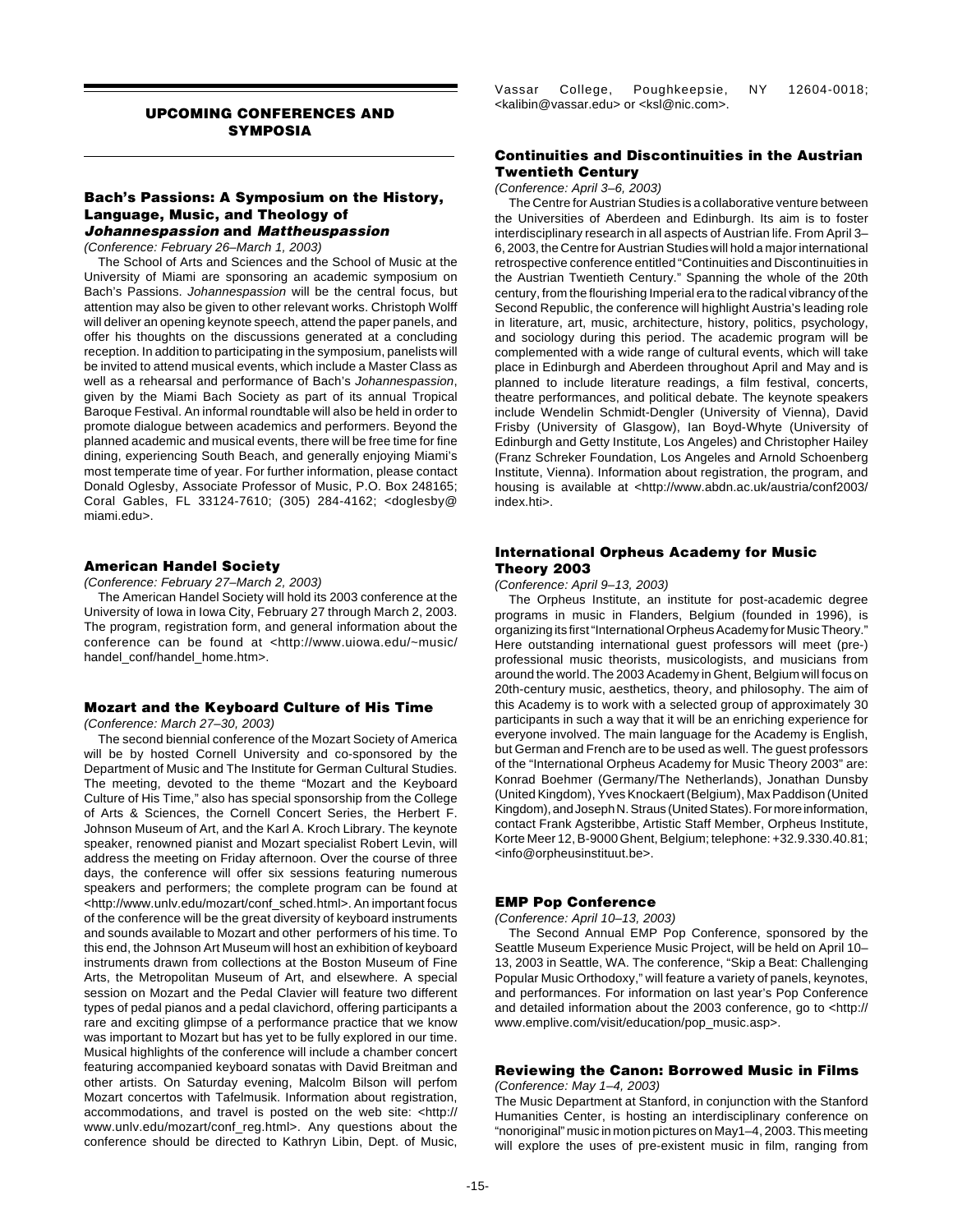# **UPCOMING CONFERENCES AND SYMPOSIA**

# **Bach's Passions: A Symposium on the History, Language, Music, and Theology of Johannespassion and Mattheuspassion**

(Conference: February 26–March 1, 2003)

The School of Arts and Sciences and the School of Music at the University of Miami are sponsoring an academic symposium on Bach's Passions. Johannespassion will be the central focus, but attention may also be given to other relevant works. Christoph Wolff will deliver an opening keynote speech, attend the paper panels, and offer his thoughts on the discussions generated at a concluding reception. In addition to participating in the symposium, panelists will be invited to attend musical events, which include a Master Class as well as a rehearsal and performance of Bach's Johannespassion, given by the Miami Bach Society as part of its annual Tropical Baroque Festival. An informal roundtable will also be held in order to promote dialogue between academics and performers. Beyond the planned academic and musical events, there will be free time for fine dining, experiencing South Beach, and generally enjoying Miami's most temperate time of year. For further information, please contact Donald Oglesby, Associate Professor of Music, P.O. Box 248165; Coral Gables, FL 33124-7610; (305) 284-4162; <doglesby@ miami.edu>.

# **American Handel Society**

(Conference: February 27–March 2, 2003)

The American Handel Society will hold its 2003 conference at the University of Iowa in Iowa City, February 27 through March 2, 2003. The program, registration form, and general information about the conference can be found at <http://www.uiowa.edu/~music/ handel\_conf/handel\_home.htm>.

# **Mozart and the Keyboard Culture of His Time**

(Conference: March 27–30, 2003)

The second biennial conference of the Mozart Society of America will be by hosted Cornell University and co-sponsored by the Department of Music and The Institute for German Cultural Studies. The meeting, devoted to the theme "Mozart and the Keyboard Culture of His Time," also has special sponsorship from the College of Arts & Sciences, the Cornell Concert Series, the Herbert F. Johnson Museum of Art, and the Karl A. Kroch Library. The keynote speaker, renowned pianist and Mozart specialist Robert Levin, will address the meeting on Friday afternoon. Over the course of three days, the conference will offer six sessions featuring numerous speakers and performers; the complete program can be found at <http://www.unlv.edu/mozart/conf\_sched.html>. An important focus of the conference will be the great diversity of keyboard instruments and sounds available to Mozart and other performers of his time. To this end, the Johnson Art Museum will host an exhibition of keyboard instruments drawn from collections at the Boston Museum of Fine Arts, the Metropolitan Museum of Art, and elsewhere. A special session on Mozart and the Pedal Clavier will feature two different types of pedal pianos and a pedal clavichord, offering participants a rare and exciting glimpse of a performance practice that we know was important to Mozart but has yet to be fully explored in our time. Musical highlights of the conference will include a chamber concert featuring accompanied keyboard sonatas with David Breitman and other artists. On Saturday evening, Malcolm Bilson will perfom Mozart concertos with Tafelmusik. Information about registration, accommodations, and travel is posted on the web site: <http:// www.unlv.edu/mozart/conf\_reg.html>. Any questions about the conference should be directed to Kathryn Libin, Dept. of Music,

Vassar College, Poughkeepsie, NY 12604-0018; <kalibin@vassar.edu> or <ksl@nic.com>.

# **Continuities and Discontinuities in the Austrian Twentieth Century**

(Conference: April 3–6, 2003)

The Centre for Austrian Studies is a collaborative venture between the Universities of Aberdeen and Edinburgh. Its aim is to foster interdisciplinary research in all aspects of Austrian life. From April 3– 6, 2003, the Centre for Austrian Studies will hold a major international retrospective conference entitled "Continuities and Discontinuities in the Austrian Twentieth Century." Spanning the whole of the 20th century, from the flourishing Imperial era to the radical vibrancy of the Second Republic, the conference will highlight Austria's leading role in literature, art, music, architecture, history, politics, psychology, and sociology during this period. The academic program will be complemented with a wide range of cultural events, which will take place in Edinburgh and Aberdeen throughout April and May and is planned to include literature readings, a film festival, concerts, theatre performances, and political debate. The keynote speakers include Wendelin Schmidt-Dengler (University of Vienna), David Frisby (University of Glasgow), Ian Boyd-Whyte (University of Edinburgh and Getty Institute, Los Angeles) and Christopher Hailey (Franz Schreker Foundation, Los Angeles and Arnold Schoenberg Institute, Vienna). Information about registration, the program, and housing is available at <http://www.abdn.ac.uk/austria/conf2003/ index.hti>.

### **International Orpheus Academy for Music Theory 2003**

(Conference: April 9–13, 2003)

The Orpheus Institute, an institute for post-academic degree programs in music in Flanders, Belgium (founded in 1996), is organizing its first "International Orpheus Academy for Music Theory." Here outstanding international guest professors will meet (pre-) professional music theorists, musicologists, and musicians from around the world. The 2003 Academy in Ghent, Belgium will focus on 20th-century music, aesthetics, theory, and philosophy. The aim of this Academy is to work with a selected group of approximately 30 participants in such a way that it will be an enriching experience for everyone involved. The main language for the Academy is English, but German and French are to be used as well. The guest professors of the "International Orpheus Academy for Music Theory 2003" are: Konrad Boehmer (Germany/The Netherlands), Jonathan Dunsby (United Kingdom), Yves Knockaert (Belgium), Max Paddison (United Kingdom), and Joseph N. Straus (United States). For more information, contact Frank Agsteribbe, Artistic Staff Member, Orpheus Institute, Korte Meer 12, B-9000 Ghent, Belgium; telephone: +32.9.330.40.81; <info@orpheusinstituut.be>.

### **EMP Pop Conference**

(Conference: April 10–13, 2003)

The Second Annual EMP Pop Conference, sponsored by the Seattle Museum Experience Music Project, will be held on April 10– 13, 2003 in Seattle, WA. The conference, "Skip a Beat: Challenging Popular Music Orthodoxy," will feature a variety of panels, keynotes, and performances. For information on last year's Pop Conference and detailed information about the 2003 conference, go to <http:// www.emplive.com/visit/education/pop\_music.asp>.

# **Reviewing the Canon: Borrowed Music in Films**

(Conference: May 1–4, 2003)

The Music Department at Stanford, in conjunction with the Stanford Humanities Center, is hosting an interdisciplinary conference on "nonoriginal" music in motion pictures on May1–4, 2003. This meeting will explore the uses of pre-existent music in film, ranging from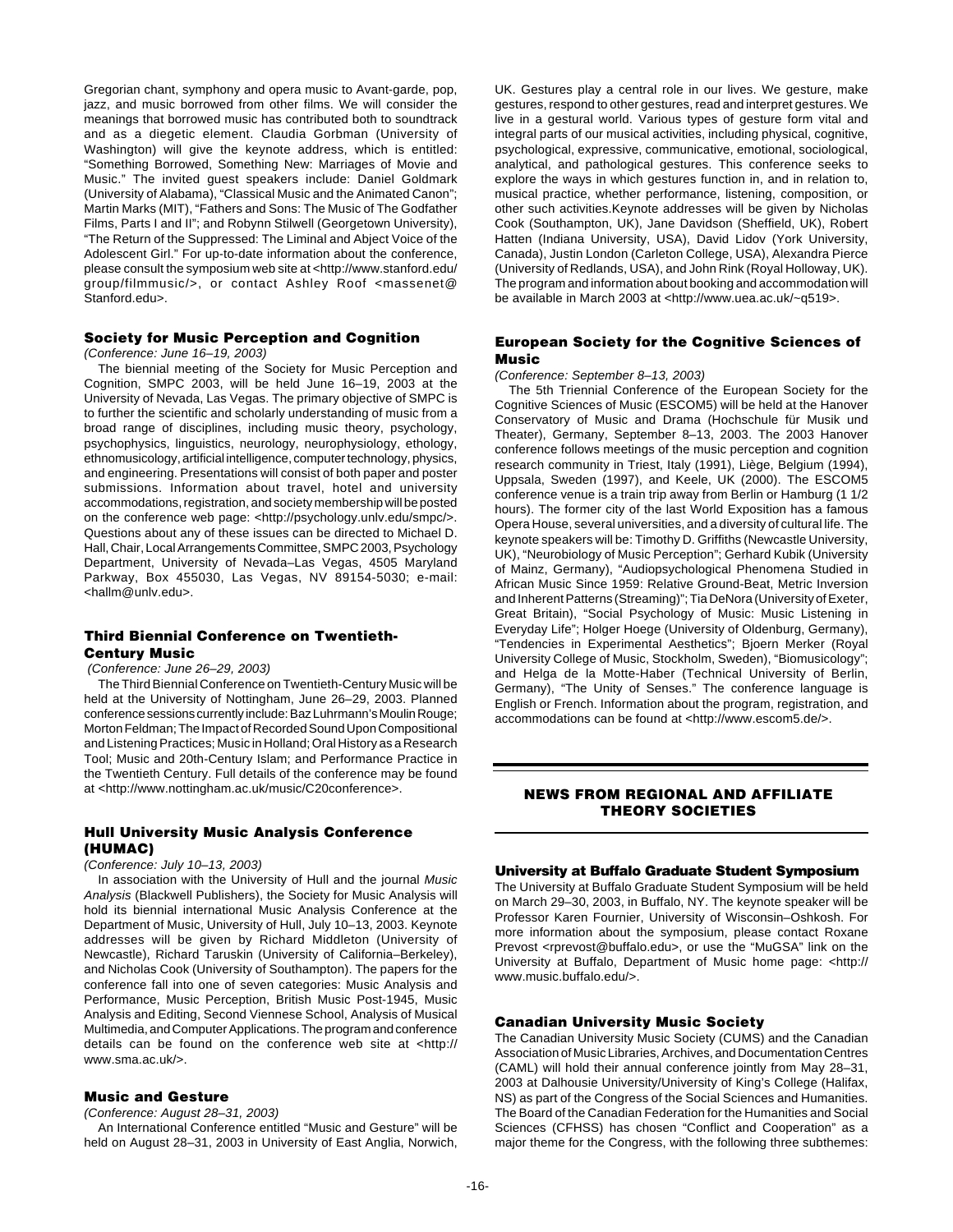Gregorian chant, symphony and opera music to Avant-garde, pop, jazz, and music borrowed from other films. We will consider the meanings that borrowed music has contributed both to soundtrack and as a diegetic element. Claudia Gorbman (University of Washington) will give the keynote address, which is entitled: "Something Borrowed, Something New: Marriages of Movie and Music." The invited guest speakers include: Daniel Goldmark (University of Alabama), "Classical Music and the Animated Canon"; Martin Marks (MIT), "Fathers and Sons: The Music of The Godfather Films, Parts I and II"; and Robynn Stilwell (Georgetown University), "The Return of the Suppressed: The Liminal and Abject Voice of the Adolescent Girl." For up-to-date information about the conference, please consult the symposium web site at <http://www.stanford.edu/ group/filmmusic/>, or contact Ashley Roof <massenet@ Stanford.edu>.

# **Society for Music Perception and Cognition**

### (Conference: June 16–19, 2003)

The biennial meeting of the Society for Music Perception and Cognition, SMPC 2003, will be held June 16–19, 2003 at the University of Nevada, Las Vegas. The primary objective of SMPC is to further the scientific and scholarly understanding of music from a broad range of disciplines, including music theory, psychology, psychophysics, linguistics, neurology, neurophysiology, ethology, ethnomusicology, artificial intelligence, computer technology, physics, and engineering. Presentations will consist of both paper and poster submissions. Information about travel, hotel and university accommodations, registration, and society membership will be posted on the conference web page: <http://psychology.unlv.edu/smpc/>. Questions about any of these issues can be directed to Michael D. Hall, Chair, Local Arrangements Committee, SMPC 2003, Psychology Department, University of Nevada–Las Vegas, 4505 Maryland Parkway, Box 455030, Las Vegas, NV 89154-5030; e-mail: <hallm@unlv.edu>.

# **Third Biennial Conference on Twentieth-Century Music**

### (Conference: June 26–29, 2003)

The Third Biennial Conference on Twentieth-Century Music will be held at the University of Nottingham, June 26–29, 2003. Planned conference sessions currently include: Baz Luhrmann's Moulin Rouge; Morton Feldman; The Impact of Recorded Sound Upon Compositional and Listening Practices; Music in Holland; Oral History as a Research Tool; Music and 20th-Century Islam; and Performance Practice in the Twentieth Century. Full details of the conference may be found at <http://www.nottingham.ac.uk/music/C20conference>.

# **Hull University Music Analysis Conference (HUMAC)**

### (Conference: July 10–13, 2003)

In association with the University of Hull and the journal Music Analysis (Blackwell Publishers), the Society for Music Analysis will hold its biennial international Music Analysis Conference at the Department of Music, University of Hull, July 10–13, 2003. Keynote addresses will be given by Richard Middleton (University of Newcastle), Richard Taruskin (University of California–Berkeley), and Nicholas Cook (University of Southampton). The papers for the conference fall into one of seven categories: Music Analysis and Performance, Music Perception, British Music Post-1945, Music Analysis and Editing, Second Viennese School, Analysis of Musical Multimedia, and Computer Applications. The program and conference details can be found on the conference web site at <http:// www.sma.ac.uk/>.

# **Music and Gesture**

### (Conference: August 28–31, 2003)

An International Conference entitled "Music and Gesture" will be held on August 28–31, 2003 in University of East Anglia, Norwich,

UK. Gestures play a central role in our lives. We gesture, make gestures, respond to other gestures, read and interpret gestures. We live in a gestural world. Various types of gesture form vital and integral parts of our musical activities, including physical, cognitive, psychological, expressive, communicative, emotional, sociological, analytical, and pathological gestures. This conference seeks to explore the ways in which gestures function in, and in relation to, musical practice, whether performance, listening, composition, or other such activities.Keynote addresses will be given by Nicholas Cook (Southampton, UK), Jane Davidson (Sheffield, UK), Robert Hatten (Indiana University, USA), David Lidov (York University, Canada), Justin London (Carleton College, USA), Alexandra Pierce (University of Redlands, USA), and John Rink (Royal Holloway, UK). The program and information about booking and accommodation will be available in March 2003 at <http://www.uea.ac.uk/~q519>.

# **European Society for the Cognitive Sciences of Music**

### (Conference: September 8–13, 2003)

The 5th Triennial Conference of the European Society for the Cognitive Sciences of Music (ESCOM5) will be held at the Hanover Conservatory of Music and Drama (Hochschule für Musik und Theater), Germany, September 8–13, 2003. The 2003 Hanover conference follows meetings of the music perception and cognition research community in Triest, Italy (1991), Liège, Belgium (1994), Uppsala, Sweden (1997), and Keele, UK (2000). The ESCOM5 conference venue is a train trip away from Berlin or Hamburg (1 1/2 hours). The former city of the last World Exposition has a famous Opera House, several universities, and a diversity of cultural life. The keynote speakers will be: Timothy D. Griffiths (Newcastle University, UK), "Neurobiology of Music Perception"; Gerhard Kubik (University of Mainz, Germany), "Audiopsychological Phenomena Studied in African Music Since 1959: Relative Ground-Beat, Metric Inversion and Inherent Patterns (Streaming)"; Tia DeNora (University of Exeter, Great Britain), "Social Psychology of Music: Music Listening in Everyday Life": Holger Hoege (University of Oldenburg, Germany), "Tendencies in Experimental Aesthetics"; Bjoern Merker (Royal University College of Music, Stockholm, Sweden), "Biomusicology"; and Helga de la Motte-Haber (Technical University of Berlin, Germany), "The Unity of Senses." The conference language is English or French. Information about the program, registration, and accommodations can be found at <http://www.escom5.de/>.

# **NEWS FROM REGIONAL AND AFFILIATE THEORY SOCIETIES**

### **University at Buffalo Graduate Student Symposium**

The University at Buffalo Graduate Student Symposium will be held on March 29–30, 2003, in Buffalo, NY. The keynote speaker will be Professor Karen Fournier, University of Wisconsin–Oshkosh. For more information about the symposium, please contact Roxane Prevost <rprevost@buffalo.edu>, or use the "MuGSA" link on the University at Buffalo, Department of Music home page: <http:// www.music.buffalo.edu/>.

### **Canadian University Music Society**

The Canadian University Music Society (CUMS) and the Canadian Association of Music Libraries, Archives, and Documentation Centres (CAML) will hold their annual conference jointly from May 28–31, 2003 at Dalhousie University/University of King's College (Halifax, NS) as part of the Congress of the Social Sciences and Humanities. The Board of the Canadian Federation for the Humanities and Social Sciences (CFHSS) has chosen "Conflict and Cooperation" as a major theme for the Congress, with the following three subthemes: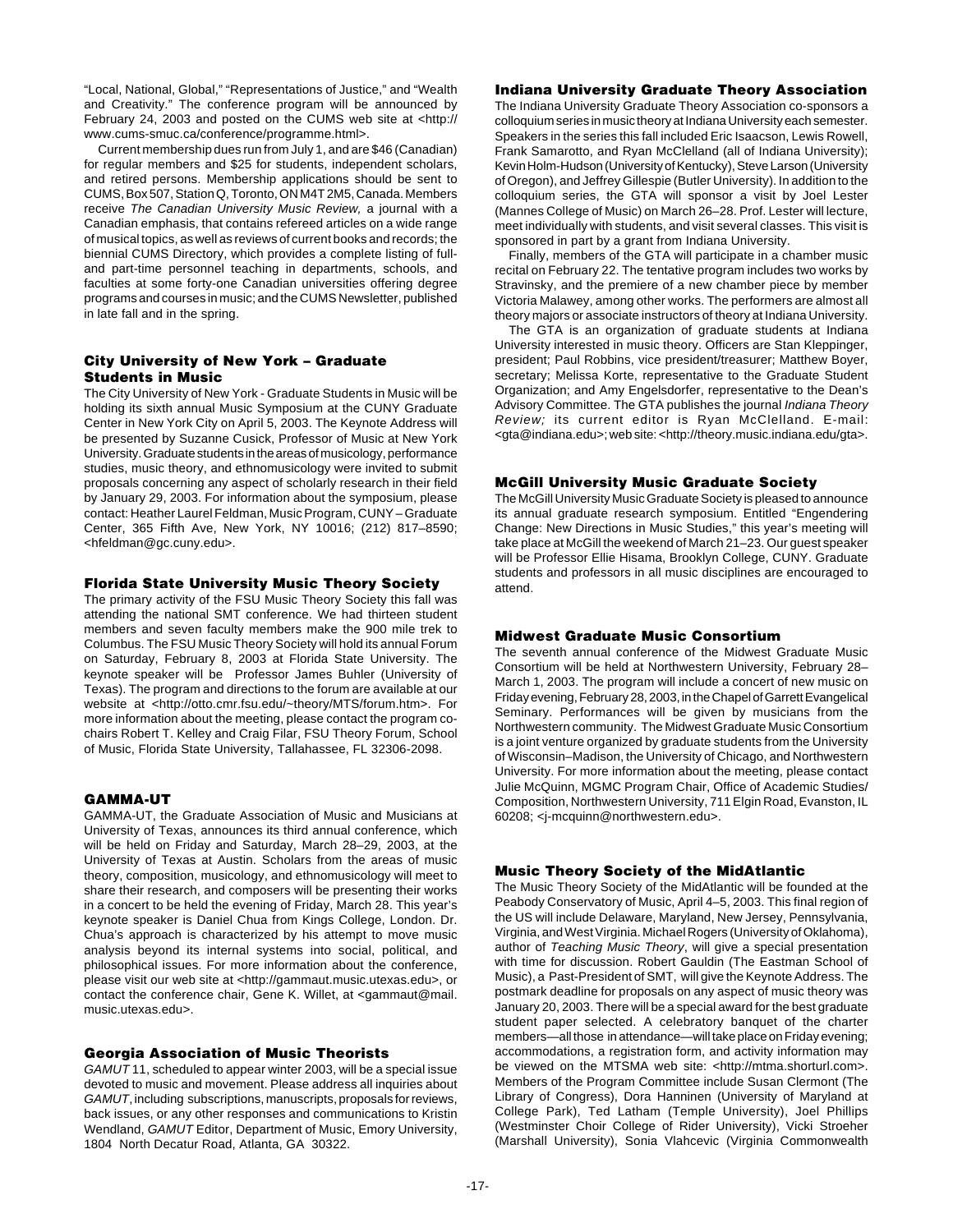"Local, National, Global," "Representations of Justice," and "Wealth and Creativity." The conference program will be announced by February 24, 2003 and posted on the CUMS web site at <http:// www.cums-smuc.ca/conference/programme.html>.

Current membership dues run from July 1, and are \$46 (Canadian) for regular members and \$25 for students, independent scholars, and retired persons. Membership applications should be sent to CUMS, Box 507, Station Q, Toronto, ON M4T 2M5, Canada. Members receive The Canadian University Music Review, a journal with a Canadian emphasis, that contains refereed articles on a wide range of musical topics, as well as reviews of current books and records; the biennial CUMS Directory, which provides a complete listing of fulland part-time personnel teaching in departments, schools, and faculties at some forty-one Canadian universities offering degree programs and courses in music; and the CUMS Newsletter, published in late fall and in the spring.

# **City University of New York – Graduate Students in Music**

The City University of New York - Graduate Students in Music will be holding its sixth annual Music Symposium at the CUNY Graduate Center in New York City on April 5, 2003. The Keynote Address will be presented by Suzanne Cusick, Professor of Music at New York University. Graduate students in the areas of musicology, performance studies, music theory, and ethnomusicology were invited to submit proposals concerning any aspect of scholarly research in their field by January 29, 2003. For information about the symposium, please contact: Heather Laurel Feldman, Music Program, CUNY – Graduate Center, 365 Fifth Ave, New York, NY 10016; (212) 817–8590; <hfeldman@gc.cuny.edu>.

# **Florida State University Music Theory Society**

The primary activity of the FSU Music Theory Society this fall was attending the national SMT conference. We had thirteen student members and seven faculty members make the 900 mile trek to Columbus. The FSU Music Theory Society will hold its annual Forum on Saturday, February 8, 2003 at Florida State University. The keynote speaker will be Professor James Buhler (University of Texas). The program and directions to the forum are available at our website at <http://otto.cmr.fsu.edu/~theory/MTS/forum.htm>. For more information about the meeting, please contact the program cochairs Robert T. Kelley and Craig Filar, FSU Theory Forum, School of Music, Florida State University, Tallahassee, FL 32306-2098.

# **GAMMA-UT**

GAMMA-UT, the Graduate Association of Music and Musicians at University of Texas, announces its third annual conference, which will be held on Friday and Saturday, March 28–29, 2003, at the University of Texas at Austin. Scholars from the areas of music theory, composition, musicology, and ethnomusicology will meet to share their research, and composers will be presenting their works in a concert to be held the evening of Friday, March 28. This year's keynote speaker is Daniel Chua from Kings College, London. Dr. Chua's approach is characterized by his attempt to move music analysis beyond its internal systems into social, political, and philosophical issues. For more information about the conference, please visit our web site at <http://gammaut.music.utexas.edu>, or contact the conference chair, Gene K. Willet, at <gammaut@mail. music.utexas.edu>.

### **Georgia Association of Music Theorists**

GAMUT 11, scheduled to appear winter 2003, will be a special issue devoted to music and movement. Please address all inquiries about GAMUT, including subscriptions, manuscripts, proposals for reviews, back issues, or any other responses and communications to Kristin Wendland, GAMUT Editor, Department of Music, Emory University, 1804 North Decatur Road, Atlanta, GA 30322.

# **Indiana University Graduate Theory Association**

The Indiana University Graduate Theory Association co-sponsors a colloquium series in music theory at Indiana University each semester. Speakers in the series this fall included Eric Isaacson, Lewis Rowell, Frank Samarotto, and Ryan McClelland (all of Indiana University); Kevin Holm-Hudson (University of Kentucky), Steve Larson (University of Oregon), and Jeffrey Gillespie (Butler University). In addition to the colloquium series, the GTA will sponsor a visit by Joel Lester (Mannes College of Music) on March 26–28. Prof. Lester will lecture, meet individually with students, and visit several classes. This visit is sponsored in part by a grant from Indiana University.

Finally, members of the GTA will participate in a chamber music recital on February 22. The tentative program includes two works by Stravinsky, and the premiere of a new chamber piece by member Victoria Malawey, among other works. The performers are almost all theory majors or associate instructors of theory at Indiana University.

The GTA is an organization of graduate students at Indiana University interested in music theory. Officers are Stan Kleppinger, president; Paul Robbins, vice president/treasurer; Matthew Boyer, secretary; Melissa Korte, representative to the Graduate Student Organization; and Amy Engelsdorfer, representative to the Dean's Advisory Committee. The GTA publishes the journal Indiana Theory Review; its current editor is Ryan McClelland. E-mail: <gta@indiana.edu>; web site: <http://theory.music.indiana.edu/gta>.

### **McGill University Music Graduate Society**

The McGill University Music Graduate Society is pleased to announce its annual graduate research symposium. Entitled "Engendering Change: New Directions in Music Studies," this year's meeting will take place at McGill the weekend of March 21–23. Our guest speaker will be Professor Ellie Hisama, Brooklyn College, CUNY. Graduate students and professors in all music disciplines are encouraged to attend.

### **Midwest Graduate Music Consortium**

The seventh annual conference of the Midwest Graduate Music Consortium will be held at Northwestern University, February 28– March 1, 2003. The program will include a concert of new music on Friday evening, February 28, 2003, in the Chapel of Garrett Evangelical Seminary. Performances will be given by musicians from the Northwestern community. The Midwest Graduate Music Consortium is a joint venture organized by graduate students from the University of Wisconsin–Madison, the University of Chicago, and Northwestern University. For more information about the meeting, please contact Julie McQuinn, MGMC Program Chair, Office of Academic Studies/ Composition, Northwestern University, 711 Elgin Road, Evanston, IL 60208; <j-mcquinn@northwestern.edu>.

### **Music Theory Society of the MidAtlantic**

The Music Theory Society of the MidAtlantic will be founded at the Peabody Conservatory of Music, April 4–5, 2003. This final region of the US will include Delaware, Maryland, New Jersey, Pennsylvania, Virginia, and West Virginia. Michael Rogers (University of Oklahoma), author of Teaching Music Theory, will give a special presentation with time for discussion. Robert Gauldin (The Eastman School of Music), a Past-President of SMT, will give the Keynote Address. The postmark deadline for proposals on any aspect of music theory was January 20, 2003. There will be a special award for the best graduate student paper selected. A celebratory banquet of the charter members—all those in attendance—will take place on Friday evening; accommodations, a registration form, and activity information may be viewed on the MTSMA web site: <http://mtma.shorturl.com>. Members of the Program Committee include Susan Clermont (The Library of Congress), Dora Hanninen (University of Maryland at College Park), Ted Latham (Temple University), Joel Phillips (Westminster Choir College of Rider University), Vicki Stroeher (Marshall University), Sonia Vlahcevic (Virginia Commonwealth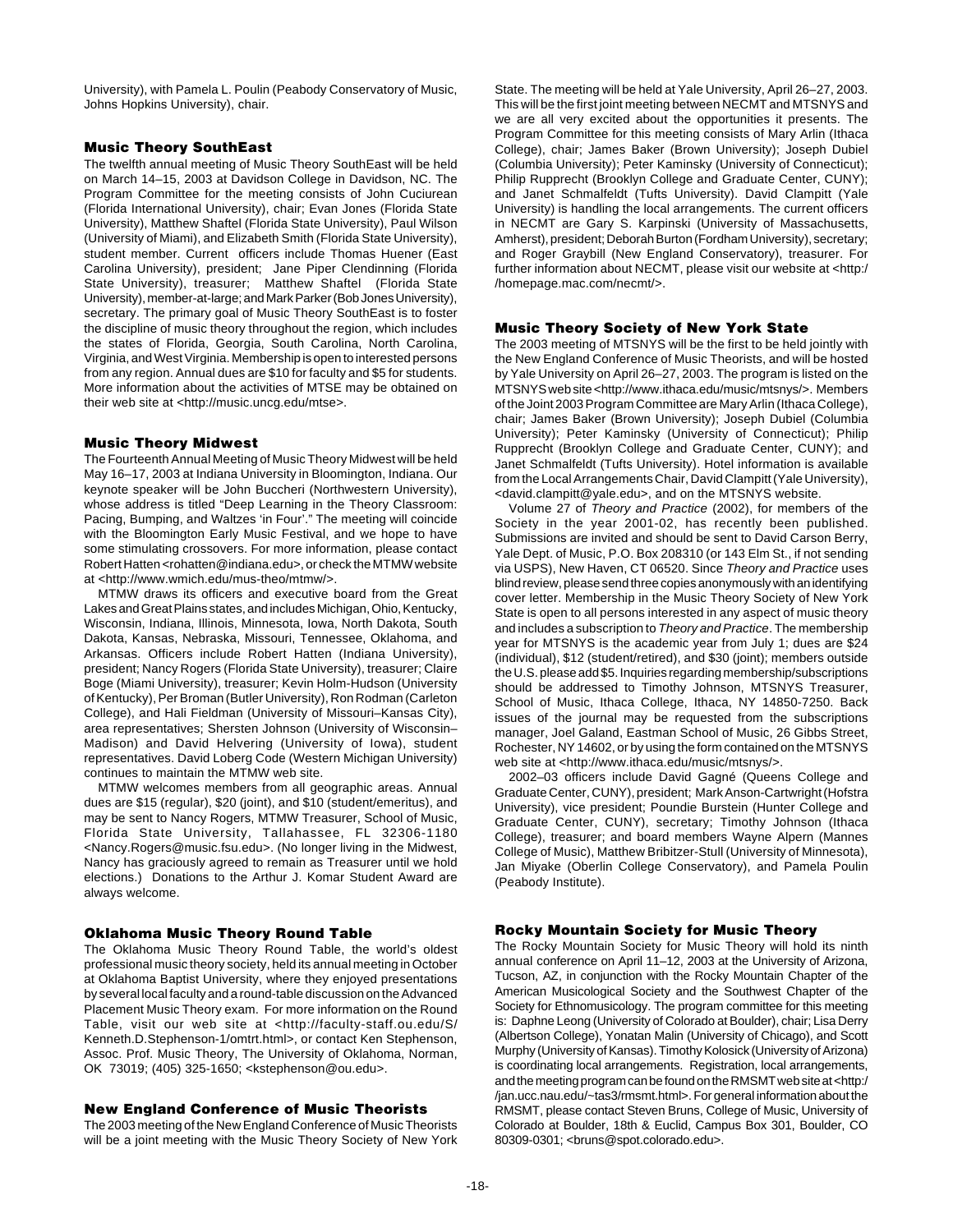University), with Pamela L. Poulin (Peabody Conservatory of Music, Johns Hopkins University), chair.

# **Music Theory SouthEast**

The twelfth annual meeting of Music Theory SouthEast will be held on March 14–15, 2003 at Davidson College in Davidson, NC. The Program Committee for the meeting consists of John Cuciurean (Florida International University), chair; Evan Jones (Florida State University), Matthew Shaftel (Florida State University), Paul Wilson (University of Miami), and Elizabeth Smith (Florida State University), student member. Current officers include Thomas Huener (East Carolina University), president; Jane Piper Clendinning (Florida State University), treasurer; Matthew Shaftel (Florida State University), member-at-large; and Mark Parker (Bob Jones University), secretary. The primary goal of Music Theory SouthEast is to foster the discipline of music theory throughout the region, which includes the states of Florida, Georgia, South Carolina, North Carolina, Virginia, and West Virginia. Membership is open to interested persons from any region. Annual dues are \$10 for faculty and \$5 for students. More information about the activities of MTSE may be obtained on their web site at <http://music.uncg.edu/mtse>.

# **Music Theory Midwest**

The Fourteenth Annual Meeting of Music Theory Midwest will be held May 16–17, 2003 at Indiana University in Bloomington, Indiana. Our keynote speaker will be John Buccheri (Northwestern University), whose address is titled "Deep Learning in the Theory Classroom: Pacing, Bumping, and Waltzes 'in Four'." The meeting will coincide with the Bloomington Early Music Festival, and we hope to have some stimulating crossovers. For more information, please contact Robert Hatten <rohatten@indiana.edu>, or check the MTMW website at <http://www.wmich.edu/mus-theo/mtmw/>.

MTMW draws its officers and executive board from the Great Lakes and Great Plains states, and includes Michigan, Ohio, Kentucky, Wisconsin, Indiana, Illinois, Minnesota, Iowa, North Dakota, South Dakota, Kansas, Nebraska, Missouri, Tennessee, Oklahoma, and Arkansas. Officers include Robert Hatten (Indiana University), president; Nancy Rogers (Florida State University), treasurer; Claire Boge (Miami University), treasurer; Kevin Holm-Hudson (University of Kentucky), Per Broman (Butler University), Ron Rodman (Carleton College), and Hali Fieldman (University of Missouri–Kansas City), area representatives; Shersten Johnson (University of Wisconsin– Madison) and David Helvering (University of Iowa), student representatives. David Loberg Code (Western Michigan University) continues to maintain the MTMW web site.

MTMW welcomes members from all geographic areas. Annual dues are \$15 (regular), \$20 (joint), and \$10 (student/emeritus), and may be sent to Nancy Rogers, MTMW Treasurer, School of Music, Florida State University, Tallahassee, FL 32306-1180 <Nancy.Rogers@music.fsu.edu>. (No longer living in the Midwest, Nancy has graciously agreed to remain as Treasurer until we hold elections.) Donations to the Arthur J. Komar Student Award are always welcome.

# **Oklahoma Music Theory Round Table**

The Oklahoma Music Theory Round Table, the world's oldest professional music theory society, held its annual meeting in October at Oklahoma Baptist University, where they enjoyed presentations by several local faculty and a round-table discussion on the Advanced Placement Music Theory exam. For more information on the Round Table, visit our web site at <http://faculty-staff.ou.edu/S/ Kenneth.D.Stephenson-1/omtrt.html>, or contact Ken Stephenson, Assoc. Prof. Music Theory, The University of Oklahoma, Norman, OK 73019; (405) 325-1650; <kstephenson@ou.edu>.

### **New England Conference of Music Theorists**

The 2003 meeting of the New England Conference of Music Theorists will be a joint meeting with the Music Theory Society of New York

State. The meeting will be held at Yale University, April 26–27, 2003. This will be the first joint meeting between NECMT and MTSNYS and we are all very excited about the opportunities it presents. The Program Committee for this meeting consists of Mary Arlin (Ithaca College), chair; James Baker (Brown University); Joseph Dubiel (Columbia University); Peter Kaminsky (University of Connecticut); Philip Rupprecht (Brooklyn College and Graduate Center, CUNY); and Janet Schmalfeldt (Tufts University). David Clampitt (Yale University) is handling the local arrangements. The current officers in NECMT are Gary S. Karpinski (University of Massachusetts, Amherst), president; Deborah Burton (Fordham University), secretary; and Roger Graybill (New England Conservatory), treasurer. For further information about NECMT, please visit our website at <http:/ /homepage.mac.com/necmt/>.

# **Music Theory Society of New York State**

The 2003 meeting of MTSNYS will be the first to be held jointly with the New England Conference of Music Theorists, and will be hosted by Yale University on April 26–27, 2003. The program is listed on the MTSNYS web site <http://www.ithaca.edu/music/mtsnys/>. Members of the Joint 2003 Program Committee are Mary Arlin (Ithaca College), chair; James Baker (Brown University); Joseph Dubiel (Columbia University); Peter Kaminsky (University of Connecticut); Philip Rupprecht (Brooklyn College and Graduate Center, CUNY); and Janet Schmalfeldt (Tufts University). Hotel information is available from the Local Arrangements Chair, David Clampitt (Yale University), <david.clampitt@yale.edu>, and on the MTSNYS website.

Volume 27 of Theory and Practice (2002), for members of the Society in the year 2001-02, has recently been published. Submissions are invited and should be sent to David Carson Berry, Yale Dept. of Music, P.O. Box 208310 (or 143 Elm St., if not sending via USPS), New Haven, CT 06520. Since Theory and Practice uses blind review, please send three copies anonymously with an identifying cover letter. Membership in the Music Theory Society of New York State is open to all persons interested in any aspect of music theory and includes a subscription to Theory and Practice. The membership year for MTSNYS is the academic year from July 1; dues are \$24 (individual), \$12 (student/retired), and \$30 (joint); members outside the U.S. please add \$5. Inquiries regarding membership/subscriptions should be addressed to Timothy Johnson, MTSNYS Treasurer, School of Music, Ithaca College, Ithaca, NY 14850-7250. Back issues of the journal may be requested from the subscriptions manager, Joel Galand, Eastman School of Music, 26 Gibbs Street, Rochester, NY 14602, or by using the form contained on the MTSNYS web site at <http://www.ithaca.edu/music/mtsnys/>.

2002–03 officers include David Gagné (Queens College and Graduate Center, CUNY), president; Mark Anson-Cartwright (Hofstra University), vice president; Poundie Burstein (Hunter College and Graduate Center, CUNY), secretary; Timothy Johnson (Ithaca College), treasurer; and board members Wayne Alpern (Mannes College of Music), Matthew Bribitzer-Stull (University of Minnesota), Jan Miyake (Oberlin College Conservatory), and Pamela Poulin (Peabody Institute).

### **Rocky Mountain Society for Music Theory**

The Rocky Mountain Society for Music Theory will hold its ninth annual conference on April 11–12, 2003 at the University of Arizona, Tucson, AZ, in conjunction with the Rocky Mountain Chapter of the American Musicological Society and the Southwest Chapter of the Society for Ethnomusicology. The program committee for this meeting is: Daphne Leong (University of Colorado at Boulder), chair; Lisa Derry (Albertson College), Yonatan Malin (University of Chicago), and Scott Murphy (University of Kansas). Timothy Kolosick (University of Arizona) is coordinating local arrangements. Registration, local arrangements, and the meeting program can be found on the RMSMT web site at <http:/ /jan.ucc.nau.edu/~tas3/rmsmt.html>. For general information about the RMSMT, please contact Steven Bruns, College of Music, University of Colorado at Boulder, 18th & Euclid, Campus Box 301, Boulder, CO 80309-0301; <bruns@spot.colorado.edu>.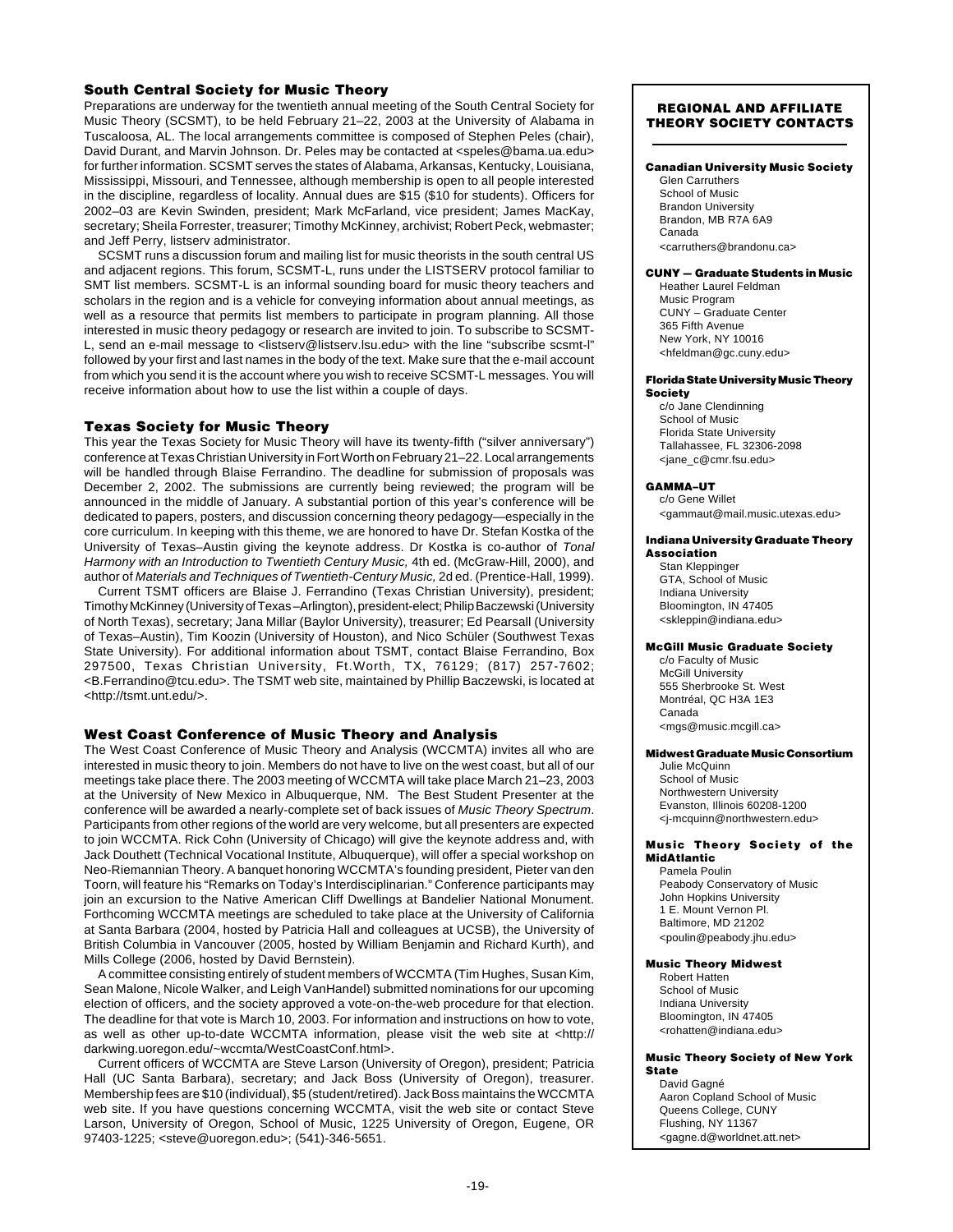### **South Central Society for Music Theory**

Preparations are underway for the twentieth annual meeting of the South Central Society for Music Theory (SCSMT), to be held February 21–22, 2003 at the University of Alabama in Tuscaloosa, AL. The local arrangements committee is composed of Stephen Peles (chair), David Durant, and Marvin Johnson. Dr. Peles may be contacted at <speles@bama.ua.edu> for further information. SCSMT serves the states of Alabama, Arkansas, Kentucky, Louisiana, Mississippi, Missouri, and Tennessee, although membership is open to all people interested in the discipline, regardless of locality. Annual dues are \$15 (\$10 for students). Officers for 2002–03 are Kevin Swinden, president; Mark McFarland, vice president; James MacKay, secretary; Sheila Forrester, treasurer; Timothy McKinney, archivist; Robert Peck, webmaster; and Jeff Perry, listserv administrator.

SCSMT runs a discussion forum and mailing list for music theorists in the south central US and adjacent regions. This forum, SCSMT-L, runs under the LISTSERV protocol familiar to SMT list members. SCSMT-L is an informal sounding board for music theory teachers and scholars in the region and is a vehicle for conveying information about annual meetings, as well as a resource that permits list members to participate in program planning. All those interested in music theory pedagogy or research are invited to join. To subscribe to SCSMT-L, send an e-mail message to <listserv@listserv.lsu.edu> with the line "subscribe scsmt-l" followed by your first and last names in the body of the text. Make sure that the e-mail account from which you send it is the account where you wish to receive SCSMT-L messages. You will receive information about how to use the list within a couple of days.

# **Texas Society for Music Theory**

This year the Texas Society for Music Theory will have its twenty-fifth ("silver anniversary") conference at Texas Christian University in Fort Worth on February 21–22. Local arrangements will be handled through Blaise Ferrandino. The deadline for submission of proposals was December 2, 2002. The submissions are currently being reviewed; the program will be announced in the middle of January. A substantial portion of this year's conference will be dedicated to papers, posters, and discussion concerning theory pedagogy—especially in the core curriculum. In keeping with this theme, we are honored to have Dr. Stefan Kostka of the University of Texas–Austin giving the keynote address. Dr Kostka is co-author of Tonal Harmony with an Introduction to Twentieth Century Music, 4th ed. (McGraw-Hill, 2000), and author of Materials and Techniques of Twentieth-Century Music, 2d ed. (Prentice-Hall, 1999).

Current TSMT officers are Blaise J. Ferrandino (Texas Christian University), president; Timothy McKinney (University of Texas –Arlington), president-elect; Philip Baczewski (University of North Texas), secretary; Jana Millar (Baylor University), treasurer; Ed Pearsall (University of Texas–Austin), Tim Koozin (University of Houston), and Nico Schüler (Southwest Texas State University). For additional information about TSMT, contact Blaise Ferrandino, Box 297500, Texas Christian University, Ft.Worth, TX, 76129; (817) 257-7602; <B.Ferrandino@tcu.edu>. The TSMT web site, maintained by Phillip Baczewski, is located at <http://tsmt.unt.edu/>.

### **West Coast Conference of Music Theory and Analysis**

The West Coast Conference of Music Theory and Analysis (WCCMTA) invites all who are interested in music theory to join. Members do not have to live on the west coast, but all of our meetings take place there. The 2003 meeting of WCCMTA will take place March 21–23, 2003 at the University of New Mexico in Albuquerque, NM. The Best Student Presenter at the conference will be awarded a nearly-complete set of back issues of Music Theory Spectrum. Participants from other regions of the world are very welcome, but all presenters are expected to join WCCMTA. Rick Cohn (University of Chicago) will give the keynote address and, with Jack Douthett (Technical Vocational Institute, Albuquerque), will offer a special workshop on Neo-Riemannian Theory. A banquet honoring WCCMTA's founding president, Pieter van den Toorn, will feature his "Remarks on Today's Interdisciplinarian." Conference participants may join an excursion to the Native American Cliff Dwellings at Bandelier National Monument. Forthcoming WCCMTA meetings are scheduled to take place at the University of California at Santa Barbara (2004, hosted by Patricia Hall and colleagues at UCSB), the University of British Columbia in Vancouver (2005, hosted by William Benjamin and Richard Kurth), and Mills College (2006, hosted by David Bernstein).

A committee consisting entirely of student members of WCCMTA (Tim Hughes, Susan Kim, Sean Malone, Nicole Walker, and Leigh VanHandel) submitted nominations for our upcoming election of officers, and the society approved a vote-on-the-web procedure for that election. The deadline for that vote is March 10, 2003. For information and instructions on how to vote, as well as other up-to-date WCCMTA information, please visit the web site at <http:// darkwing.uoregon.edu/~wccmta/WestCoastConf.html>.

Current officers of WCCMTA are Steve Larson (University of Oregon), president; Patricia Hall (UC Santa Barbara), secretary; and Jack Boss (University of Oregon), treasurer. Membership fees are \$10 (individual), \$5 (student/retired). Jack Boss maintains the WCCMTA web site. If you have questions concerning WCCMTA, visit the web site or contact Steve Larson, University of Oregon, School of Music, 1225 University of Oregon, Eugene, OR 97403-1225; <steve@uoregon.edu>; (541)-346-5651.

### **REGIONAL AND AFFILIATE THEORY SOCIETY CONTACTS**

### **Canadian University Music Society**

Glen Carruthers School of Music Brandon University Brandon, MB R7A 6A9 Canada <carruthers@brandonu.ca>

### **CUNY — Graduate Students in Music**

Heather Laurel Feldman Music Program CUNY – Graduate Center 365 Fifth Avenue New York, NY 10016 <hfeldman@gc.cuny.edu>

### **Florida State University Music Theory Society**

c/o Jane Clendinning School of Music Florida State University Tallahassee, FL 32306-2098 <jane\_c@cmr.fsu.edu>

### **GAMMA–UT**

c/o Gene Willet <gammaut@mail.music.utexas.edu>

### **Indiana University Graduate Theory Association**

Stan Kleppinger GTA, School of Music Indiana University Bloomington, IN 47405 <skleppin@indiana.edu>

### **McGill Music Graduate Society**

c/o Faculty of Music McGill University 555 Sherbrooke St. West Montréal, QC H3A 1E3 Canada <mgs@music.mcgill.ca>

# **Midwest Graduate Music Consortium**

Julie McQuinn School of Music Northwestern University Evanston, Illinois 60208-1200 <j-mcquinn@northwestern.edu>

### **Music Theory Society of the MidAtlantic**

Pamela Poulin Peabody Conservatory of Music John Hopkins University 1 E. Mount Vernon Pl. Baltimore, MD 21202 <poulin@peabody.jhu.edu>

### **Music Theory Midwest**

Robert Hatten School of Music Indiana University Bloomington, IN 47405 <rohatten@indiana.edu>

### **Music Theory Society of New York State**

David Gagné Aaron Copland School of Music Queens College, CUNY Flushing, NY 11367 <gagne.d@worldnet.att.net>